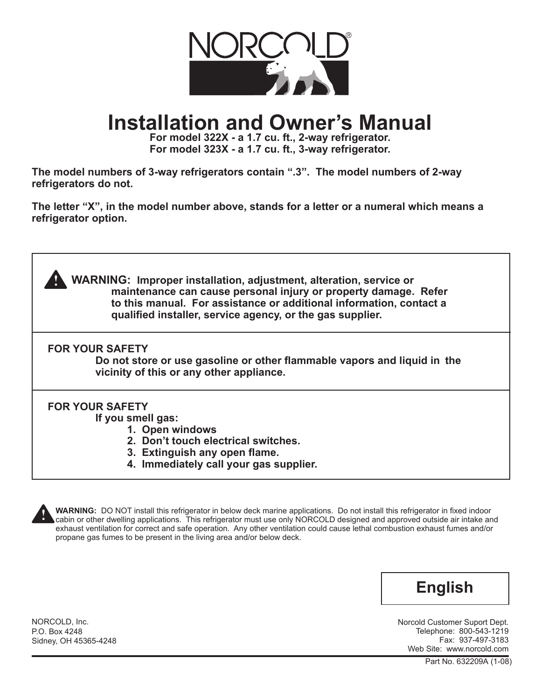

# **Installation and Owner's Manual**

**For model 322X - a 1.7 cu. ft., 2-way refrigerator. For model 323X - a 1.7 cu. ft., 3-way refrigerator.**

**The model numbers of 3-way refrigerators contain ".3". The model numbers of 2-way refrigerators do not.**

**The letter "X", in the model number above, stands for a letter or a numeral which means a refrigerator option.**

**WARNING: Improper installation, adjustment, alteration, service or maintenance can cause personal injury or property damage. Refer to this manual. For assistance or additional information, contact a qualified installer, service agency, or the gas supplier.**

**FOR YOUR SAFETY** 

**!**

**Do not store or use gasoline or other flammable vapors and liquid in the vicinity of this or any other appliance.**

## **FOR YOUR SAFETY**

**If you smell gas:**

- **1. Open windows**
- **2. Don't touch electrical switches.**
- **3. Extinguish any open flame.**
- **4. Immediately call your gas supplier.**



**WARNING:** DO NOT install this refrigerator in below deck marine applications. Do not install this refrigerator in fixed indoor cabin or other dwelling applications. This refrigerator must use only NORCOLD designed and approved outside air intake and exhaust ventilation for correct and safe operation. Any other ventilation could cause lethal combustion exhaust fumes and/or propane gas fumes to be present in the living area and/or below deck.



Norcold Customer Suport Dept. Telephone: 800-543-1219 Fax: 937-497-3183 Web Site: www.norcold.com

NORCOLD, Inc. P.O. Box 4248 Sidney, OH 45365-4248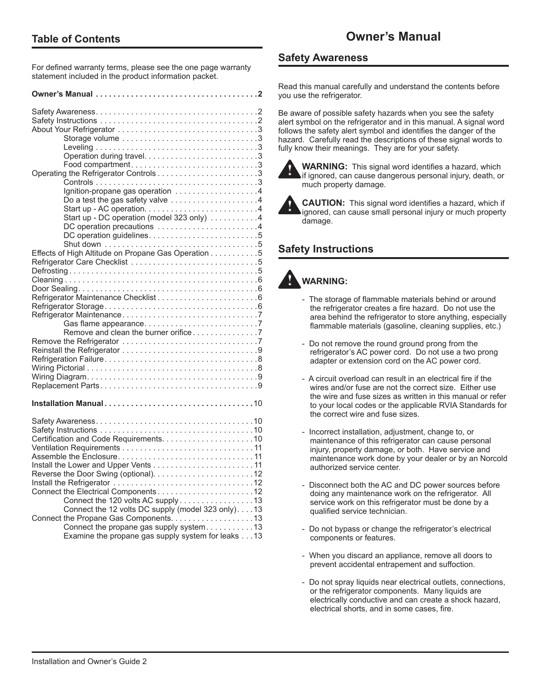For defined warranty terms, please see the one page warranty statement included in the product information packet.

| Ignition-propane gas operation $\ldots \ldots \ldots \ldots \ldots$                                                                      |
|------------------------------------------------------------------------------------------------------------------------------------------|
| Do a test the gas safety valve 4<br>Start up - DC operation (model 323 only) 4                                                           |
| DC operation precautions 4                                                                                                               |
| Effects of High Altitude on Propane Gas Operation 5                                                                                      |
|                                                                                                                                          |
|                                                                                                                                          |
| Remove and clean the burner orifice 7                                                                                                    |
|                                                                                                                                          |
|                                                                                                                                          |
|                                                                                                                                          |
|                                                                                                                                          |
|                                                                                                                                          |
| Connect the 120 volts AC supply 13                                                                                                       |
| Connect the 12 volts DC supply (model 323 only). 13<br>Connect the Propane Gas Components. 13<br>Connect the propane gas supply system13 |
| Examine the propane gas supply system for leaks 13                                                                                       |

## **Safety Awareness**

Read this manual carefully and understand the contents before you use the refrigerator.

Be aware of possible safety hazards when you see the safety alert symbol on the refrigerator and in this manual. A signal word follows the safety alert symbol and identifies the danger of the hazard. Carefully read the descriptions of these signal words to fully know their meanings. They are for your safety.



**WARNING:** This signal word identifies a hazard, which if ignored, can cause dangerous personal injury, death, or much property damage.



**CAUTION:** This signal word identifies a hazard, which if ignored, can cause small personal injury or much property damage.

## **Safety Instructions**

#### **WARNING: !**

- The storage of flammable materials behind or around the refrigerator creates a fire hazard. Do not use the area behind the refrigerator to store anything, especially flammable materials (gasoline, cleaning supplies, etc.)
- Do not remove the round ground prong from the refrigerator's AC power cord. Do not use a two prong adapter or extension cord on the AC power cord.
- A circuit overload can result in an electrical fire if the wires and/or fuse are not the correct size. Either use the wire and fuse sizes as written in this manual or refer to your local codes or the applicable RVIA Standards for the correct wire and fuse sizes.
- Incorrect installation, adjustment, change to, or maintenance of this refrigerator can cause personal injury, property damage, or both. Have service and maintenance work done by your dealer or by an Norcold authorized service center.
- Disconnect both the AC and DC power sources before doing any maintenance work on the refrigerator. All service work on this refrigerator must be done by a qualified service technician.
- Do not bypass or change the refrigerator's electrical components or features.
- When you discard an appliance, remove all doors to prevent accidental entrapement and suffoction.
- Do not spray liquids near electrical outlets, connections, or the refrigerator components. Many liquids are electrically conductive and can create a shock hazard, electrical shorts, and in some cases, fire.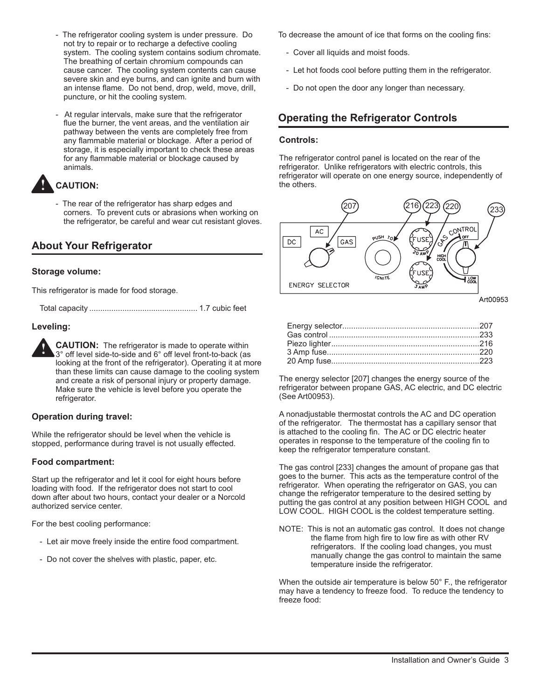- The refrigerator cooling system is under pressure. Do not try to repair or to recharge a defective cooling system. The cooling system contains sodium chromate. The breathing of certain chromium compounds can cause cancer. The cooling system contents can cause severe skin and eye burns, and can ignite and burn with an intense flame. Do not bend, drop, weld, move, drill, puncture, or hit the cooling system.
- At regular intervals, make sure that the refrigerator flue the burner, the vent areas, and the ventilation air pathway between the vents are completely free from any flammable material or blockage. After a period of storage, it is especially important to check these areas for any flammable material or blockage caused by animals.

#### **CAUTION: !**

- The rear of the refrigerator has sharp edges and corners. To prevent cuts or abrasions when working on the refrigerator, be careful and wear cut resistant gloves.

## **About Your Refrigerator**

### **Storage volume:**

This refrigerator is made for food storage.

Total capacity ................................................. 1.7 cubic feet

### **Leveling:**

**CAUTION:** The refrigerator is made to operate within 3° off level side-to-side and 6° off level front-to-back (as looking at the front of the refrigerator). Operating it at more than these limits can cause damage to the cooling system and create a risk of personal injury or property damage. Make sure the vehicle is level before you operate the refrigerator. **!**

### **Operation during travel:**

While the refrigerator should be level when the vehicle is stopped, performance during travel is not usually effected.

### **Food compartment:**

Start up the refrigerator and let it cool for eight hours before loading with food. If the refrigerator does not start to cool down after about two hours, contact your dealer or a Norcold authorized service center.

For the best cooling performance:

- Let air move freely inside the entire food compartment.
- Do not cover the shelves with plastic, paper, etc.

To decrease the amount of ice that forms on the cooling fins:

- Cover all liquids and moist foods.
- Let hot foods cool before putting them in the refrigerator.
- Do not open the door any longer than necessary.

## **Operating the Refrigerator Controls**

#### **Controls:**

The refrigerator control panel is located on the rear of the refrigerator. Unlike refrigerators with electric controls, this refrigerator will operate on one energy source, independently of the others.



The energy selector [207] changes the energy source of the refrigerator between propane GAS, AC electric, and DC electric (See Art00953).

A nonadjustable thermostat controls the AC and DC operation of the refrigerator. The thermostat has a capillary sensor that is attached to the cooling fin. The AC or DC electric heater operates in response to the temperature of the cooling fin to keep the refrigerator temperature constant.

The gas control [233] changes the amount of propane gas that goes to the burner. This acts as the temperature control of the refrigerator. When operating the refrigerator on GAS, you can change the refrigerator temperature to the desired setting by putting the gas control at any position between HIGH COOL and LOW COOL. HIGH COOL is the coldest temperature setting.

NOTE: This is not an automatic gas control. It does not change the flame from high fire to low fire as with other RV refrigerators. If the cooling load changes, you must manually change the gas control to maintain the same temperature inside the refrigerator.

When the outside air temperature is below 50° F., the refrigerator may have a tendency to freeze food. To reduce the tendency to freeze food: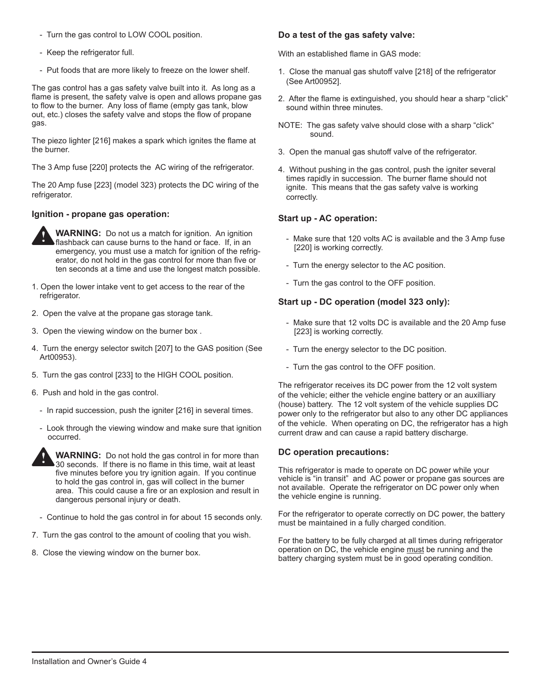- Turn the gas control to LOW COOL position.
- Keep the refrigerator full.
- Put foods that are more likely to freeze on the lower shelf.

The gas control has a gas safety valve built into it. As long as a flame is present, the safety valve is open and allows propane gas to flow to the burner. Any loss of flame (empty gas tank, blow out, etc.) closes the safety valve and stops the flow of propane gas.

The piezo lighter [216] makes a spark which ignites the flame at the burner.

The 3 Amp fuse [220] protects the AC wiring of the refrigerator.

The 20 Amp fuse [223] (model 323) protects the DC wiring of the refrigerator.

#### **Ignition - propane gas operation:**



**WARNING:** Do not us a match for ignition. An ignition flashback can cause burns to the hand or face. If, in an emergency, you must use a match for ignition of the refrigerator, do not hold in the gas control for more than five or ten seconds at a time and use the longest match possible.

- 1. Open the lower intake vent to get access to the rear of the refrigerator.
- 2. Open the valve at the propane gas storage tank.
- 3. Open the viewing window on the burner box .
- 4. Turn the energy selector switch [207] to the GAS position (See Art00953).
- 5. Turn the gas control [233] to the HIGH COOL position.
- 6. Push and hold in the gas control.
	- In rapid succession, push the igniter [216] in several times.
	- Look through the viewing window and make sure that ignition occurred.



**WARNING:** Do not hold the gas control in for more than 30 seconds. If there is no flame in this time, wait at least five minutes before you try ignition again. If you continue to hold the gas control in, gas will collect in the burner area. This could cause a fire or an explosion and result in dangerous personal injury or death.

- Continue to hold the gas control in for about 15 seconds only.
- 7. Turn the gas control to the amount of cooling that you wish.
- 8. Close the viewing window on the burner box.

#### **Do a test of the gas safety valve:**

With an established flame in GAS mode:

- 1. Close the manual gas shutoff valve [218] of the refrigerator (See Art00952].
- 2. After the flame is extinguished, you should hear a sharp "click" sound within three minutes.
- NOTE: The gas safety valve should close with a sharp "click" sound.
- 3. Open the manual gas shutoff valve of the refrigerator.
- 4. Without pushing in the gas control, push the igniter several times rapidly in succession. The burner flame should not ignite. This means that the gas safety valve is working correctly.

#### **Start up - AC operation:**

- Make sure that 120 volts AC is available and the 3 Amp fuse [220] is working correctly.
- Turn the energy selector to the AC position.
- Turn the gas control to the OFF position.

### **Start up - DC operation (model 323 only):**

- Make sure that 12 volts DC is available and the 20 Amp fuse [223] is working correctly.
- Turn the energy selector to the DC position.
- Turn the gas control to the OFF position.

The refrigerator receives its DC power from the 12 volt system of the vehicle; either the vehicle engine battery or an auxilliary (house) battery. The 12 volt system of the vehicle supplies DC power only to the refrigerator but also to any other DC appliances of the vehicle. When operating on DC, the refrigerator has a high current draw and can cause a rapid battery discharge.

#### **DC operation precautions:**

This refrigerator is made to operate on DC power while your vehicle is "in transit" and AC power or propane gas sources are not available. Operate the refrigerator on DC power only when the vehicle engine is running.

For the refrigerator to operate correctly on DC power, the battery must be maintained in a fully charged condition.

For the battery to be fully charged at all times during refrigerator operation on DC, the vehicle engine must be running and the battery charging system must be in good operating condition.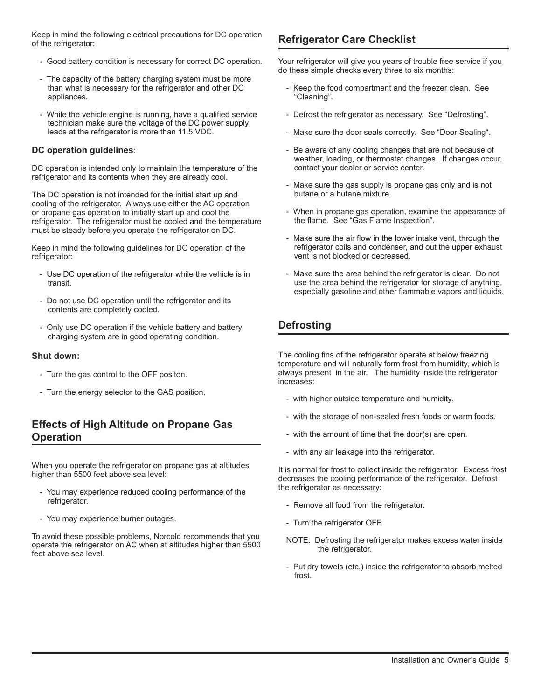Keep in mind the following electrical precautions for DC operation<br>of the refrigerator: of the refrigerator:

- Good battery condition is necessary for correct DC operation.
- The capacity of the battery charging system must be more than what is necessary for the refrigerator and other DC appliances.
- While the vehicle engine is running, have a qualified service technician make sure the voltage of the DC power supply leads at the refrigerator is more than 11.5 VDC.

#### **DC operation guidelines**:

DC operation is intended only to maintain the temperature of the refrigerator and its contents when they are already cool.

The DC operation is not intended for the initial start up and cooling of the refrigerator. Always use either the AC operation or propane gas operation to initially start up and cool the refrigerator. The refrigerator must be cooled and the temperature must be steady before you operate the refrigerator on DC.

Keep in mind the following guidelines for DC operation of the refrigerator:

- Use DC operation of the refrigerator while the vehicle is in transit.
- Do not use DC operation until the refrigerator and its contents are completely cooled.
- Only use DC operation if the vehicle battery and battery charging system are in good operating condition.

#### **Shut down:**

- Turn the gas control to the OFF positon.
- Turn the energy selector to the GAS position.

## **Effects of High Altitude on Propane Gas Operation**

When you operate the refrigerator on propane gas at altitudes higher than 5500 feet above sea level:

- You may experience reduced cooling performance of the refrigerator.
- You may experience burner outages.

To avoid these possible problems, Norcold recommends that you operate the refrigerator on AC when at altitudes higher than 5500 feet above sea level.

Your refrigerator will give you years of trouble free service if you do these simple checks every three to six months:

- Keep the food compartment and the freezer clean. See "Cleaning".
- Defrost the refrigerator as necessary. See "Defrosting".
- Make sure the door seals correctly. See "Door Sealing".
- Be aware of any cooling changes that are not because of weather, loading, or thermostat changes. If changes occur, contact your dealer or service center.
- Make sure the gas supply is propane gas only and is not butane or a butane mixture.
- When in propane gas operation, examine the appearance of the flame. See "Gas Flame Inspection".
- Make sure the air flow in the lower intake vent, through the refrigerator coils and condenser, and out the upper exhaust vent is not blocked or decreased.
- Make sure the area behind the refrigerator is clear. Do not use the area behind the refrigerator for storage of anything, especially gasoline and other flammable vapors and liquids.

## **Defrosting**

The cooling fins of the refrigerator operate at below freezing temperature and will naturally form frost from humidity, which is always present in the air. The humidity inside the refrigerator increases:

- with higher outside temperature and humidity.
- with the storage of non-sealed fresh foods or warm foods.
- with the amount of time that the door(s) are open.
- with any air leakage into the refrigerator.

It is normal for frost to collect inside the refrigerator. Excess frost decreases the cooling performance of the refrigerator. Defrost the refrigerator as necessary:

- Remove all food from the refrigerator.
- Turn the refrigerator OFF.
- NOTE: Defrosting the refrigerator makes excess water inside the refrigerator.
- Put dry towels (etc.) inside the refrigerator to absorb melted frost.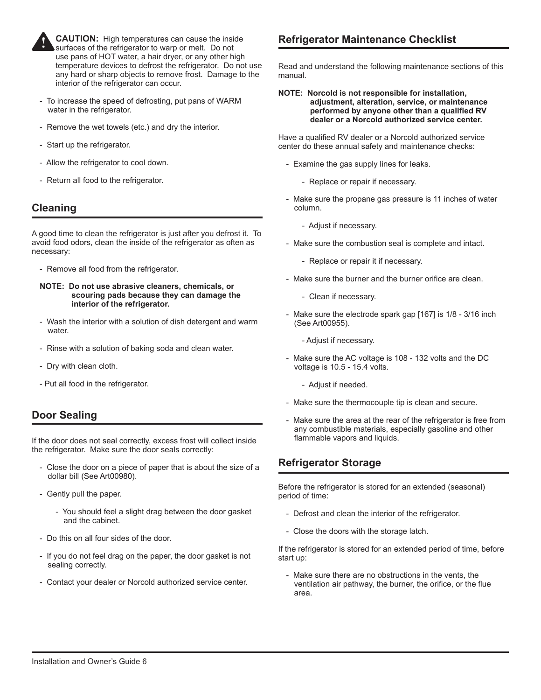

**CAUTION:** High temperatures can cause the inside surfaces of the refrigerator to warp or melt. Do not use pans of HOT water, a hair dryer, or any other high temperature devices to defrost the refrigerator. Do not use any hard or sharp objects to remove frost. Damage to the interior of the refrigerator can occur.

- To increase the speed of defrosting, put pans of WARM water in the refrigerator.
- Remove the wet towels (etc.) and dry the interior.
- Start up the refrigerator.
- Allow the refrigerator to cool down.
- Return all food to the refrigerator.

## **Cleaning**

A good time to clean the refrigerator is just after you defrost it. To avoid food odors, clean the inside of the refrigerator as often as necessary:

- Remove all food from the refrigerator.

#### **NOTE: Do not use abrasive cleaners, chemicals, or scouring pads because they can damage the interior of the refrigerator.**

- Wash the interior with a solution of dish detergent and warm water.
- Rinse with a solution of baking soda and clean water.
- Dry with clean cloth.
- Put all food in the refrigerator.

## **Door Sealing**

If the door does not seal correctly, excess frost will collect inside the refrigerator. Make sure the door seals correctly:

- Close the door on a piece of paper that is about the size of a dollar bill (See Art00980).
- Gently pull the paper.
	- You should feel a slight drag between the door gasket and the cabinet.
- Do this on all four sides of the door.
- If you do not feel drag on the paper, the door gasket is not sealing correctly.
- Contact your dealer or Norcold authorized service center.

## **Refrigerator Maintenance Checklist**

Read and understand the following maintenance sections of this manual.

**NOTE: Norcold is not responsible for installation, adjustment, alteration, service, or maintenance performed by anyone other than a qualified RV dealer or a Norcold authorized service center.**

Have a qualified RV dealer or a Norcold authorized service center do these annual safety and maintenance checks:

- Examine the gas supply lines for leaks.
	- Replace or repair if necessary.
- Make sure the propane gas pressure is 11 inches of water column.
	- Adjust if necessary.
- Make sure the combustion seal is complete and intact.
	- Replace or repair it if necessary.
- Make sure the burner and the burner orifice are clean.
	- Clean if necessary.
- Make sure the electrode spark gap [167] is 1/8 3/16 inch (See Art00955).
	- Adjust if necessary.
- Make sure the AC voltage is 108 132 volts and the DC voltage is 10.5 - 15.4 volts.
	- Adjust if needed.
- Make sure the thermocouple tip is clean and secure.
- Make sure the area at the rear of the refrigerator is free from any combustible materials, especially gasoline and other flammable vapors and liquids.

## **Refrigerator Storage**

Before the refrigerator is stored for an extended (seasonal) period of time:

- Defrost and clean the interior of the refrigerator.
- Close the doors with the storage latch.

If the refrigerator is stored for an extended period of time, before start up:

- Make sure there are no obstructions in the vents, the ventilation air pathway, the burner, the orifice, or the flue area.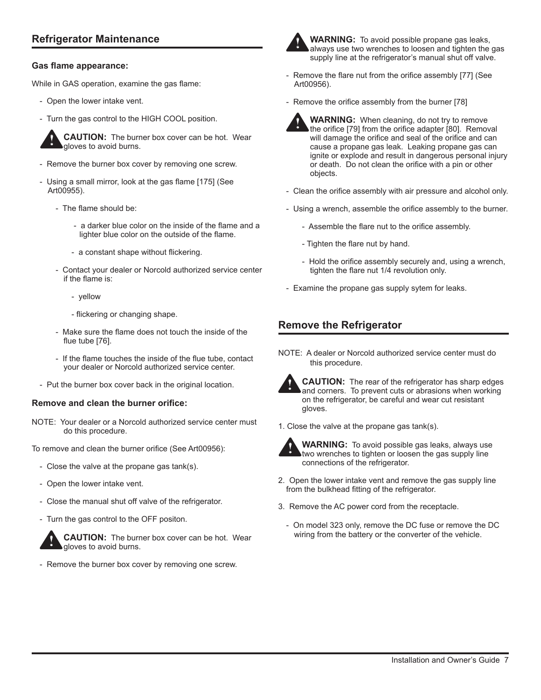## **Refrigerator Maintenance**

#### **Gas flame appearance:**

While in GAS operation, examine the gas flame:

- Open the lower intake vent.
- Turn the gas control to the HIGH COOL position.



**CAUTION:** The burner box cover can be hot. Wear gloves to avoid burns.

- Remove the burner box cover by removing one screw.
- Using a small mirror, look at the gas flame [175] (See Art00955).
	- The flame should be:
		- a darker blue color on the inside of the flame and a lighter blue color on the outside of the flame.
		- a constant shape without flickering.
	- Contact your dealer or Norcold authorized service center if the flame is:
		- yellow
		- flickering or changing shape.
	- Make sure the flame does not touch the inside of the flue tube [76].
	- If the flame touches the inside of the flue tube, contact your dealer or Norcold authorized service center.
- Put the burner box cover back in the original location.

#### **Remove and clean the burner orifice:**

NOTE: Your dealer or a Norcold authorized service center must do this procedure.

To remove and clean the burner orifice (See Art00956):

- Close the valve at the propane gas tank(s).
- Open the lower intake vent.
- Close the manual shut off valve of the refrigerator.
- Turn the gas control to the OFF positon.



**CAUTION:** The burner box cover can be hot. Wear gloves to avoid burns.

- Remove the burner box cover by removing one screw.



**WARNING:** To avoid possible propane gas leaks, always use two wrenches to loosen and tighten the gas supply line at the refrigerator's manual shut off valve.

- Remove the flare nut from the orifice assembly [77] (See Art00956).
- Remove the orifice assembly from the burner [78]



- **WARNING:** When cleaning, do not try to remove the orifice [79] from the orifice adapter [80]. Removal will damage the orifice and seal of the orifice and can cause a propane gas leak. Leaking propane gas can ignite or explode and result in dangerous personal injury or death. Do not clean the orifice with a pin or other objects. **!**
- Clean the orifice assembly with air pressure and alcohol only.
- Using a wrench, assemble the orifice assembly to the burner.
	- Assemble the flare nut to the orifice assembly.
	- Tighten the flare nut by hand.
	- Hold the orifice assembly securely and, using a wrench, tighten the flare nut 1/4 revolution only.
- Examine the propane gas supply sytem for leaks.

## **Remove the Refrigerator**

NOTE: A dealer or Norcold authorized service center must do this procedure.



**CAUTION:** The rear of the refrigerator has sharp edges and corners. To prevent cuts or abrasions when working on the refrigerator, be careful and wear cut resistant gloves.

1. Close the valve at the propane gas tank(s).



**WARNING:** To avoid possible gas leaks, always use two wrenches to tighten or loosen the gas supply line connections of the refrigerator.

- 2. Open the lower intake vent and remove the gas supply line from the bulkhead fitting of the refrigerator.
- 3. Remove the AC power cord from the receptacle.
	- On model 323 only, remove the DC fuse or remove the DC wiring from the battery or the converter of the vehicle.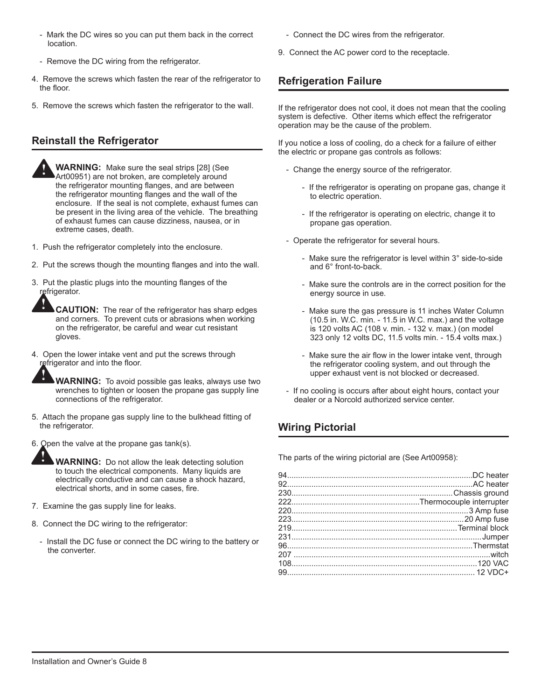- Mark the DC wires so you can put them back in the correct location.
- Remove the DC wiring from the refrigerator.
- 4. Remove the screws which fasten the rear of the refrigerator to the floor.
- 5. Remove the screws which fasten the refrigerator to the wall.

## **Reinstall the Refrigerator**

**!**

**!**

**!**

**WARNING:** Make sure the seal strips [28] (See Art00951) are not broken, are completely around the refrigerator mounting flanges, and are between the refrigerator mounting flanges and the wall of the enclosure. If the seal is not complete, exhaust fumes can be present in the living area of the vehicle. The breathing of exhaust fumes can cause dizziness, nausea, or in extreme cases, death. **!**

- 1. Push the refrigerator completely into the enclosure.
- 2. Put the screws though the mounting flanges and into the wall.
- 3. Put the plastic plugs into the mounting flanges of the refrigerator.

**CAUTION:** The rear of the refrigerator has sharp edges and corners. To prevent cuts or abrasions when working on the refrigerator, be careful and wear cut resistant gloves.

4. Open the lower intake vent and put the screws through refrigerator and into the floor.

> **WARNING:** To avoid possible gas leaks, always use two wrenches to tighten or loosen the propane gas supply line connections of the refrigerator.

- 5. Attach the propane gas supply line to the bulkhead fitting of the refrigerator.
- 6. Open the valve at the propane gas tank(s).

**WARNING:** Do not allow the leak detecting solution to touch the electrical components. Many liquids are electrically conductive and can cause a shock hazard, electrical shorts, and in some cases, fire.

- 7. Examine the gas supply line for leaks.
- 8. Connect the DC wiring to the refrigerator:
	- Install the DC fuse or connect the DC wiring to the battery or the converter.
- Connect the DC wires from the refrigerator.
- 9. Connect the AC power cord to the receptacle.

## **Refrigeration Failure**

If the refrigerator does not cool, it does not mean that the cooling system is defective. Other items which effect the refrigerator operation may be the cause of the problem.

If you notice a loss of cooling, do a check for a failure of either the electric or propane gas controls as follows:

- Change the energy source of the refrigerator.
	- If the refrigerator is operating on propane gas, change it to electric operation.
	- If the refrigerator is operating on electric, change it to propane gas operation.
- Operate the refrigerator for several hours.
	- Make sure the refrigerator is level within 3° side-to-side and 6° front-to-back.
	- Make sure the controls are in the correct position for the energy source in use.
	- Make sure the gas pressure is 11 inches Water Column (10.5 in. W.C. min. - 11.5 in W.C. max.) and the voltage is 120 volts AC (108 v. min. - 132 v. max.) (on model 323 only 12 volts DC, 11.5 volts min. - 15.4 volts max.)
	- Make sure the air flow in the lower intake vent, through the refrigerator cooling system, and out through the upper exhaust vent is not blocked or decreased.
- If no cooling is occurs after about eight hours, contact your dealer or a Norcold authorized service center.

## **Wiring Pictorial**

The parts of the wiring pictorial are (See Art00958):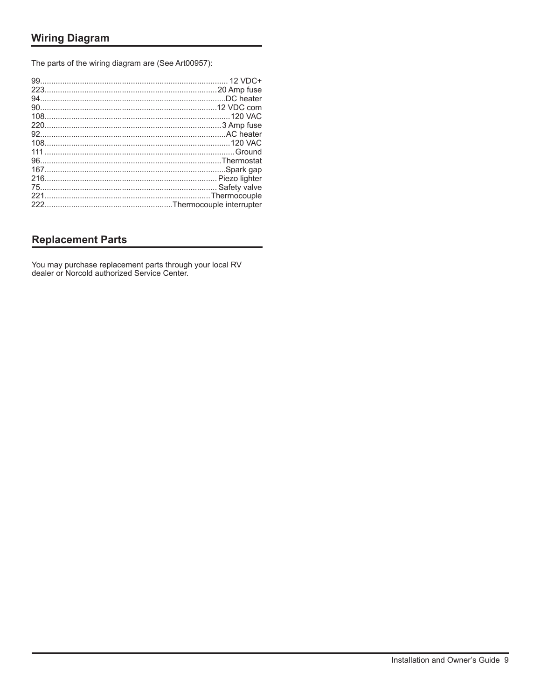The parts of the wiring diagram are (See Art00957):

## **Replacement Parts**

You may purchase replacement parts through your local RV dealer or Norcold authorized Service Center.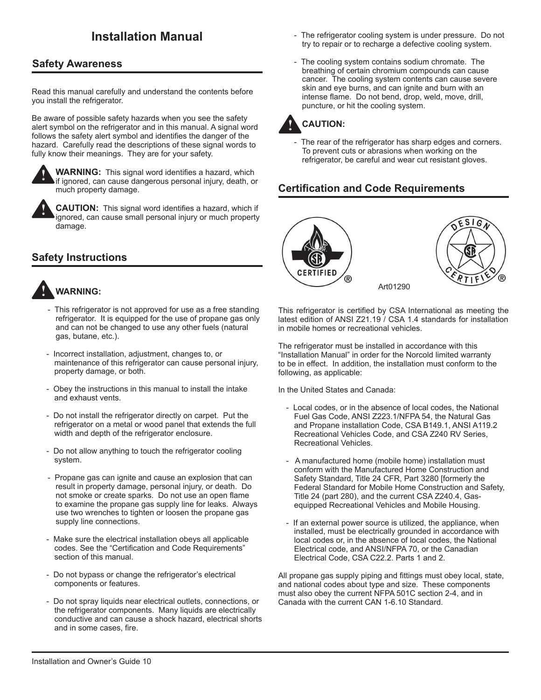## **Safety Awareness**

Read this manual carefully and understand the contents before you install the refrigerator.

Be aware of possible safety hazards when you see the safety alert symbol on the refrigerator and in this manual. A signal word follows the safety alert symbol and identifies the danger of the hazard. Carefully read the descriptions of these signal words to fully know their meanings. They are for your safety.



**!**

**WARNING:** This signal word identifies a hazard, which if ignored, can cause dangerous personal injury, death, or much property damage.

**CAUTION:** This signal word identifies a hazard, which if ignored, can cause small personal injury or much property damage.

## **Safety Instructions**



- This refrigerator is not approved for use as a free standing refrigerator. It is equipped for the use of propane gas only and can not be changed to use any other fuels (natural gas, butane, etc.).
- Incorrect installation, adjustment, changes to, or maintenance of this refrigerator can cause personal injury, property damage, or both.
- Obey the instructions in this manual to install the intake and exhaust vents.
- Do not install the refrigerator directly on carpet. Put the refrigerator on a metal or wood panel that extends the full width and depth of the refrigerator enclosure.
- Do not allow anything to touch the refrigerator cooling system.
- Propane gas can ignite and cause an explosion that can result in property damage, personal injury, or death. Do not smoke or create sparks. Do not use an open flame to examine the propane gas supply line for leaks. Always use two wrenches to tighten or loosen the propane gas supply line connections.
- Make sure the electrical installation obeys all applicable codes. See the "Certification and Code Requirements" section of this manual.
- Do not bypass or change the refrigerator's electrical components or features.
- Do not spray liquids near electrical outlets, connections, or the refrigerator components. Many liquids are electrically conductive and can cause a shock hazard, electrical shorts and in some cases, fire.
- **Installation Manual Installation Manual The refrigerator cooling system is under pressure.** Do not try to repair or to recharge a defective cooling system.
	- The cooling system contains sodium chromate. The breathing of certain chromium compounds can cause cancer. The cooling system contents can cause severe skin and eye burns, and can ignite and burn with an intense flame. Do not bend, drop, weld, move, drill, puncture, or hit the cooling system.



The rear of the refrigerator has sharp edges and corners. To prevent cuts or abrasions when working on the refrigerator, be careful and wear cut resistant gloves.

## **Certification and Code Requirements**





Art01290

This refrigerator is certified by CSA International as meeting the latest edition of ANSI Z21.19 / CSA 1.4 standards for installation in mobile homes or recreational vehicles.

The refrigerator must be installed in accordance with this "Installation Manual" in order for the Norcold limited warranty to be in effect. In addition, the installation must conform to the following, as applicable:

In the United States and Canada:

- Local codes, or in the absence of local codes, the National Fuel Gas Code, ANSI Z223.1/NFPA 54, the Natural Gas and Propane installation Code, CSA B149.1, ANSI A119.2 Recreational Vehicles Code, and CSA Z240 RV Series, Recreational Vehicles.
- A manufactured home (mobile home) installation must conform with the Manufactured Home Construction and Safety Standard, Title 24 CFR, Part 3280 [formerly the Federal Standard for Mobile Home Construction and Safety, Title 24 (part 280), and the current CSA Z240.4, Gasequipped Recreational Vehicles and Mobile Housing.
- If an external power source is utilized, the appliance, when installed, must be electrically grounded in accordance with local codes or, in the absence of local codes, the National Electrical code, and ANSI/NFPA 70, or the Canadian Electrical Code, CSA C22.2. Parts 1 and 2.

All propane gas supply piping and fittings must obey local, state, and national codes about type and size. These components must also obey the current NFPA 501C section 2-4, and in Canada with the current CAN 1-6.10 Standard.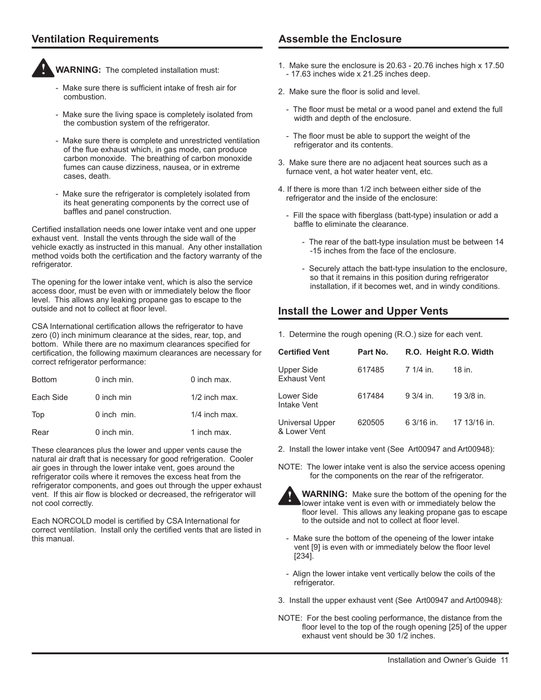## **Ventilation Requirements**



**WARNING:** The completed installation must:

- Make sure there is sufficient intake of fresh air for combustion.
- Make sure the living space is completely isolated from the combustion system of the refrigerator.
- Make sure there is complete and unrestricted ventilation of the flue exhaust which, in gas mode, can produce carbon monoxide. The breathing of carbon monoxide fumes can cause dizziness, nausea, or in extreme cases, death.
- Make sure the refrigerator is completely isolated from its heat generating components by the correct use of baffles and panel construction.

Certified installation needs one lower intake vent and one upper exhaust vent. Install the vents through the side wall of the vehicle exactly as instructed in this manual. Any other installation method voids both the certification and the factory warranty of the refrigerator.

The opening for the lower intake vent, which is also the service access door, must be even with or immediately below the floor level. This allows any leaking propane gas to escape to the outside and not to collect at floor level.

CSA International certification allows the refrigerator to have zero (0) inch minimum clearance at the sides, rear, top, and bottom. While there are no maximum clearances specified for certification, the following maximum clearances are necessary for correct refrigerator performance:

| <b>Bottom</b> | 0 inch min.   | 0 inch max.     |
|---------------|---------------|-----------------|
| Each Side     | 0 inch min    | $1/2$ inch max. |
| Top           | $0$ inch min. | $1/4$ inch max. |
| Rear          | 0 inch min.   | 1 inch max.     |

These clearances plus the lower and upper vents cause the natural air draft that is necessary for good refrigeration. Cooler air goes in through the lower intake vent, goes around the refrigerator coils where it removes the excess heat from the refrigerator components, and goes out through the upper exhaust vent. If this air flow is blocked or decreased, the refrigerator will not cool correctly.

Each NORCOLD model is certified by CSA International for correct ventilation. Install only the certified vents that are listed in this manual.

## **Assemble the Enclosure**

- 1. Make sure the enclosure is 20.63 20.76 inches high x 17.50 - 17.63 inches wide x 21.25 inches deep.
- 2. Make sure the floor is solid and level.
	- The floor must be metal or a wood panel and extend the full width and depth of the enclosure.
	- The floor must be able to support the weight of the refrigerator and its contents.
- 3. Make sure there are no adjacent heat sources such as a furnace vent, a hot water heater vent, etc.
- 4. If there is more than 1/2 inch between either side of the refrigerator and the inside of the enclosure:
	- Fill the space with fiberglass (batt-type) insulation or add a baffle to eliminate the clearance.
		- The rear of the batt-type insulation must be between 14 -15 inches from the face of the enclosure.
		- Securely attach the batt-type insulation to the enclosure, so that it remains in this position during refrigerator installation, if it becomes wet, and in windy conditions.

## **Install the Lower and Upper Vents**

1. Determine the rough opening (R.O.) size for each vent.

| <b>Certified Vent</b>                  | Part No. | R.O. Height R.O. Width |              |
|----------------------------------------|----------|------------------------|--------------|
| Upper Side<br><b>Exhaust Vent</b>      | 617485   | 7 1/4 in.              | 18 in.       |
| Lower Side<br>Intake Vent              | 617484   | $9.3/4$ in.            | 19 3/8 in.   |
| <b>Universal Upper</b><br>& Lower Vent | 620505   | 6 3/16 in.             | 17 13/16 in. |

- 2. Install the lower intake vent (See Art00947 and Art00948):
- NOTE: The lower intake vent is also the service access opening for the components on the rear of the refrigerator.



**WARNING:** Make sure the bottom of the opening for the lower intake vent is even with or immediately below the floor level. This allows any leaking propane gas to escape to the outside and not to collect at floor level.

- Make sure the bottom of the openeing of the lower intake vent [9] is even with or immediately below the floor level [234].
- Align the lower intake vent vertically below the coils of the refrigerator.
- 3. Install the upper exhaust vent (See Art00947 and Art00948):
- NOTE: For the best cooling performance, the distance from the floor level to the top of the rough opening [25] of the upper exhaust vent should be 30 1/2 inches.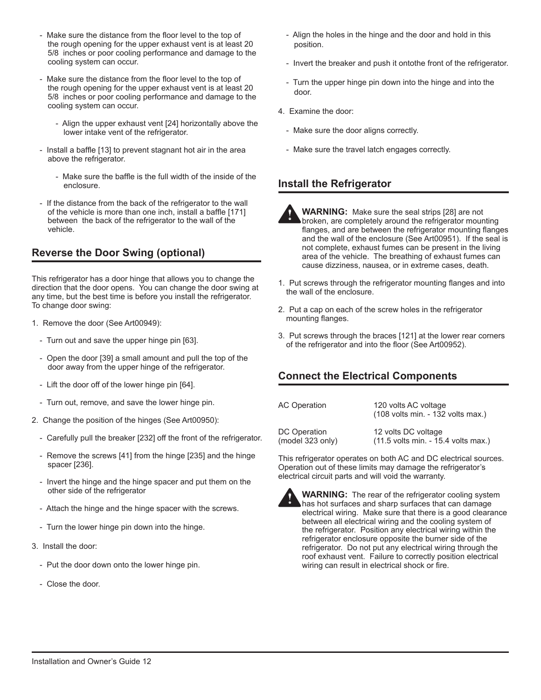- Make sure the distance from the floor level to the top of the rough opening for the upper exhaust vent is at least 20 5/8 inches or poor cooling performance and damage to the cooling system can occur.
- Make sure the distance from the floor level to the top of the rough opening for the upper exhaust vent is at least 20 5/8 inches or poor cooling performance and damage to the cooling system can occur.
	- Align the upper exhaust vent [24] horizontally above the lower intake vent of the refrigerator.
- Install a baffle [13] to prevent stagnant hot air in the area above the refrigerator.
	- Make sure the baffle is the full width of the inside of the enclosure.
- If the distance from the back of the refrigerator to the wall of the vehicle is more than one inch, install a baffle [171] between the back of the refrigerator to the wall of the vehicle.

## **Reverse the Door Swing (optional)**

This refrigerator has a door hinge that allows you to change the direction that the door opens. You can change the door swing at any time, but the best time is before you install the refrigerator. To change door swing:

- 1. Remove the door (See Art00949):
	- Turn out and save the upper hinge pin [63].
	- Open the door [39] a small amount and pull the top of the door away from the upper hinge of the refrigerator.
	- Lift the door off of the lower hinge pin [64].
	- Turn out, remove, and save the lower hinge pin.
- 2. Change the position of the hinges (See Art00950):
	- Carefully pull the breaker [232] off the front of the refrigerator.
	- Remove the screws [41] from the hinge [235] and the hinge spacer [236].
	- Invert the hinge and the hinge spacer and put them on the other side of the refrigerator
	- Attach the hinge and the hinge spacer with the screws.
	- Turn the lower hinge pin down into the hinge.
- 3. Install the door:
	- Put the door down onto the lower hinge pin.
	- Close the door.
- Align the holes in the hinge and the door and hold in this position.
- Invert the breaker and push it ontothe front of the refrigerator.
- Turn the upper hinge pin down into the hinge and into the door.
- 4. Examine the door:
	- Make sure the door aligns correctly.
	- Make sure the travel latch engages correctly.

## **Install the Refrigerator**

**WARNING:** Make sure the seal strips [28] are not broken, are completely around the refrigerator mounting flanges, and are between the refrigerator mounting flanges and the wall of the enclosure (See Art00951). If the seal is not complete, exhaust fumes can be present in the living area of the vehicle. The breathing of exhaust fumes can cause dizziness, nausea, or in extreme cases, death. **!**

- 1. Put screws through the refrigerator mounting flanges and into the wall of the enclosure.
- 2. Put a cap on each of the screw holes in the refrigerator mounting flanges.
- 3. Put screws through the braces [121] at the lower rear corners of the refrigerator and into the floor (See Art00952).

## **Connect the Electrical Components**

| <b>AC Operation</b> | 120 volts AC voltage<br>(108 volts min. - 132 volts max.) |
|---------------------|-----------------------------------------------------------|
| DC Operation        | 12 volts DC voltage                                       |
| (model 323 only)    | (11.5 volts min. - 15.4 volts max.)                       |

This refrigerator operates on both AC and DC electrical sources. Operation out of these limits may damage the refrigerator's electrical circuit parts and will void the warranty.



**WARNING:** The rear of the refrigerator cooling system has hot surfaces and sharp surfaces that can damage electrical wiring. Make sure that there is a good clearance between all electrical wiring and the cooling system of the refrigerator. Position any electrical wiring within the refrigerator enclosure opposite the burner side of the refrigerator. Do not put any electrical wiring through the roof exhaust vent. Failure to correctly position electrical wiring can result in electrical shock or fire.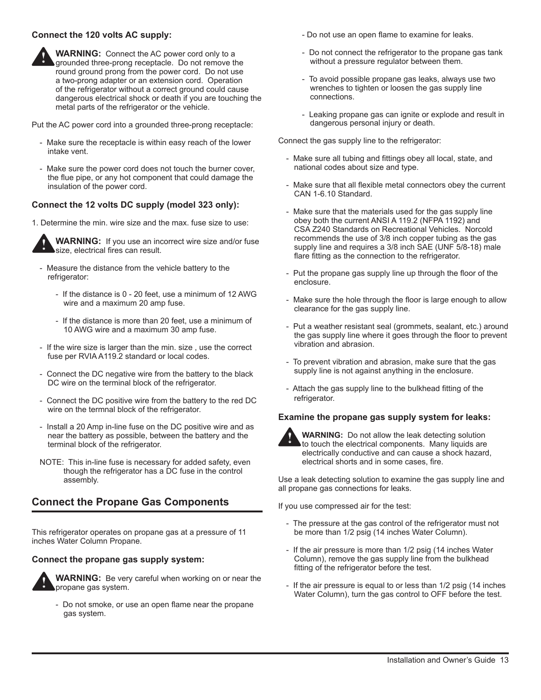#### **Connect the 120 volts AC supply:**



Put the AC power cord into a grounded three-prong receptacle:

- Make sure the receptacle is within easy reach of the lower intake vent.
- Make sure the power cord does not touch the burner cover, the flue pipe, or any hot component that could damage the insulation of the power cord.

#### **Connect the 12 volts DC supply (model 323 only):**

1. Determine the min. wire size and the max. fuse size to use:



**WARNING:** If you use an incorrect wire size and/or fuse size, electrical fires can result.

- Measure the distance from the vehicle battery to the refrigerator:
	- If the distance is 0 20 feet, use a minimum of 12 AWG wire and a maximum 20 amp fuse.
	- If the distance is more than 20 feet, use a minimum of 10 AWG wire and a maximum 30 amp fuse.
- If the wire size is larger than the min. size , use the correct fuse per RVIA A119.2 standard or local codes.
- Connect the DC negative wire from the battery to the black DC wire on the terminal block of the refrigerator.
- Connect the DC positive wire from the battery to the red DC wire on the termnal block of the refrigerator.
- Install a 20 Amp in-line fuse on the DC positive wire and as near the battery as possible, between the battery and the terminal block of the refrigerator.
- NOTE: This in-line fuse is necessary for added safety, even though the refrigerator has a DC fuse in the control assembly.

## **Connect the Propane Gas Components**

This refrigerator operates on propane gas at a pressure of 11 inches Water Column Propane.

#### **Connect the propane gas supply system:**



**WARNING:** Be very careful when working on or near the propane gas system.

- Do not smoke, or use an open flame near the propane gas system.

- Do not use an open flame to examine for leaks.
- Do not connect the refrigerator to the propane gas tank without a pressure regulator between them.
- To avoid possible propane gas leaks, always use two wrenches to tighten or loosen the gas supply line connections.
- Leaking propane gas can ignite or explode and result in dangerous personal injury or death.

Connect the gas supply line to the refrigerator:

- Make sure all tubing and fittings obey all local, state, and national codes about size and type.
- Make sure that all flexible metal connectors obey the current CAN 1-6.10 Standard.
- Make sure that the materials used for the gas supply line obey both the current ANSI A 119.2 (NFPA 1192) and CSA Z240 Standards on Recreational Vehicles. Norcold recommends the use of 3/8 inch copper tubing as the gas supply line and requires a 3/8 inch SAE (UNF 5/8-18) male flare fitting as the connection to the refrigerator.
- Put the propane gas supply line up through the floor of the enclosure.
- Make sure the hole through the floor is large enough to allow clearance for the gas supply line.
- Put a weather resistant seal (grommets, sealant, etc.) around the gas supply line where it goes through the floor to prevent vibration and abrasion.
- To prevent vibration and abrasion, make sure that the gas supply line is not against anything in the enclosure.
- Attach the gas supply line to the bulkhead fitting of the refrigerator.

#### **Examine the propane gas supply system for leaks:**



**WARNING:** Do not allow the leak detecting solution to touch the electrical components. Many liquids are electrically conductive and can cause a shock hazard, electrical shorts and in some cases, fire.

Use a leak detecting solution to examine the gas supply line and all propane gas connections for leaks.

If you use compressed air for the test:

- The pressure at the gas control of the refrigerator must not be more than 1/2 psig (14 inches Water Column).
- If the air pressure is more than 1/2 psig (14 inches Water Column), remove the gas supply line from the bulkhead fitting of the refrigerator before the test.
- If the air pressure is equal to or less than 1/2 psig (14 inches Water Column), turn the gas control to OFF before the test.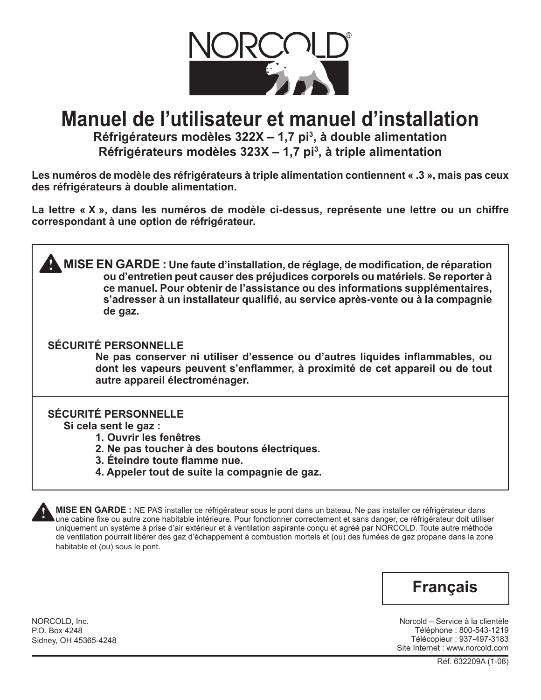

# **Manuel de l'utilisateur et manuel d'installation**

**Réfrigérateurs modèles 322X – 1,7 pi<sup>3</sup> , à double alimentation Réfrigérateurs modèles 323X – 1,7 pi<sup>3</sup> , à triple alimentation**

**Les numéros de modèle des réfrigérateurs à triple alimentation contiennent « .3 », mais pas ceux des réfrigérateurs à double alimentation.**

**La lettre « X », dans les numéros de modèle ci-dessus, représente une lettre ou un chiffre correspondant à une option de réfrigérateur.**

**MISE EN GARDE :** Une faute d'installation, de réglage, de modification, de réparation  $\frac{1}{2}$ **ou d'entretien peut causer des préjudices corporels ou matériels. Se reporter à ce manuel. Pour obtenir de l'assistance ou des informations supplémentaires, s'adresser à un installateur qualifié, au service après-vente ou à la compagnie de gaz.**

## **SÉCURITÉ PERSONNELLE**

**Ne pas conserver ni utiliser d'essence ou d'autres liquides inflammables, ou dont les vapeurs peuvent s'enflammer, à proximité de cet appareil ou de tout autre appareil électroménager.**

## **SÉCURITÉ PERSONNELLE**

**Si cela sent le gaz :**

- **1. Ouvrir les fenêtres**
- **2. Ne pas toucher à des boutons électriques.**
- **3. Éteindre toute flamme nue.**
- **4. Appeler tout de suite la compagnie de gaz.**

**MISE EN GARDE :** NE PAS installer ce réfrigérateur sous le pont dans un bateau. Ne pas installer ce réfrigérateur dans une cabine fixe ou autre zone habitable intérieure. Pour fonctionner correctement et sans danger, ce réfrigérateur doit utiliser uniquement un système à prise d'air extérieur et à ventilation aspirante conçu et agréé par NORCOLD. Toute autre méthode de ventilation pourrait libérer des gaz d'échappement à combustion mortels et (ou) des fumées de gaz propane dans la zone habitable et (ou) sous le pont.

# **Français**

Norcold – Service à la clientèle Téléphone : 800-543-1219 Télécopieur : 937-497-3183 Site Internet : www.norcold.com

NORCOLD, Inc. P.O. Box 4248 Sidney, OH 45365-4248

**!**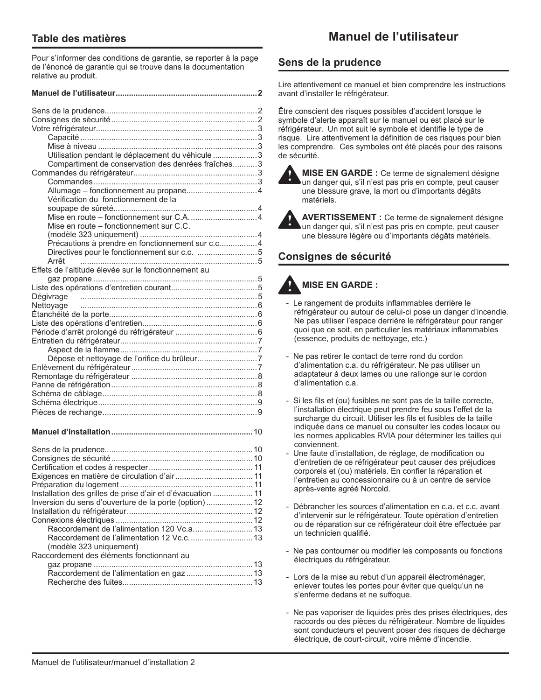## **Table des matières**

**Manuel de l'utilisateur**

Pour s'informer des conditions de garantie, se reporter à la page de l'énoncé de garantie qui se trouve dans la documentation relative au produit.

| Utilisation pendant le déplacement du véhicule  3    |  |
|------------------------------------------------------|--|
| Compartiment de conservation des denrées fraîches3   |  |
|                                                      |  |
|                                                      |  |
|                                                      |  |
| Vérification du fonctionnement de la                 |  |
|                                                      |  |
|                                                      |  |
| Mise en route - fonctionnement sur C.C.              |  |
|                                                      |  |
| Précautions à prendre en fonctionnement sur c.c4     |  |
|                                                      |  |
| Arrêt                                                |  |
| Effets de l'altitude élevée sur le fonctionnement au |  |
|                                                      |  |
|                                                      |  |
|                                                      |  |
|                                                      |  |
|                                                      |  |
|                                                      |  |
|                                                      |  |
|                                                      |  |
|                                                      |  |
|                                                      |  |
|                                                      |  |
|                                                      |  |
|                                                      |  |
|                                                      |  |
|                                                      |  |
|                                                      |  |
|                                                      |  |

#### **Manuel d'installation................................................................**10

| Inversion du sens d'ouverture de la porte (option) 12 |  |
|-------------------------------------------------------|--|
|                                                       |  |
|                                                       |  |
| Raccordement de l'alimentation 120 Vc.a 13            |  |
|                                                       |  |
| (modèle 323 uniquement)                               |  |
| Raccordement des éléments fonctionnant au             |  |
|                                                       |  |
|                                                       |  |
|                                                       |  |

## **Sens de la prudence**

Lire attentivement ce manuel et bien comprendre les instructions avant d'installer le réfrigérateur.

Être conscient des risques possibles d'accident lorsque le symbole d'alerte apparaît sur le manuel ou est placé sur le réfrigérateur. Un mot suit le symbole et identifie le type de risque. Lire attentivement la définition de ces risques pour bien les comprendre. Ces symboles ont été placés pour des raisons de sécurité.



**!**

**MISE EN GARDE :** Ce terme de signalement désigne un danger qui, s'il n'est pas pris en compte, peut causer une blessure grave, la mort ou d'importants dégâts matériels.

**AVERTISSEMENT :** Ce terme de signalement désigne un danger qui, s'il n'est pas pris en compte, peut causer une blessure légère ou d'importants dégâts matériels.

## **Consignes de sécurité**

#### **MISE EN GARDE : !**

- Le rangement de produits inflammables derrière le réfrigérateur ou autour de celui-ci pose un danger d'incendie. Ne pas utiliser l'espace derrière le réfrigérateur pour ranger quoi que ce soit, en particulier les matériaux inflammables (essence, produits de nettoyage, etc.)
- Ne pas retirer le contact de terre rond du cordon d'alimentation c.a. du réfrigérateur. Ne pas utiliser un adaptateur à deux lames ou une rallonge sur le cordon d'alimentation c.a.
- Si les fils et (ou) fusibles ne sont pas de la taille correcte, l'installation électrique peut prendre feu sous l'effet de la surcharge du circuit. Utiliser les fils et fusibles de la taille indiquée dans ce manuel ou consulter les codes locaux ou les normes applicables RVIA pour déterminer les tailles qui conviennent.
- Une faute d'installation, de réglage, de modification ou d'entretien de ce réfrigérateur peut causer des préjudices corporels et (ou) matériels. En confier la réparation et l'entretien au concessionnaire ou à un centre de service après-vente agréé Norcold.
- Débrancher les sources d'alimentation en c.a. et c.c. avant d'intervenir sur le réfrigérateur. Toute opération d'entretien ou de réparation sur ce réfrigérateur doit être effectuée par un technicien qualifié.
- Ne pas contourner ou modifier les composants ou fonctions électriques du réfrigérateur.
- Lors de la mise au rebut d'un appareil électroménager, enlever toutes les portes pour éviter que quelqu'un ne s'enferme dedans et ne suffoque.
- Ne pas vaporiser de liquides près des prises électriques, des raccords ou des pièces du réfrigérateur. Nombre de liquides sont conducteurs et peuvent poser des risques de décharge électrique, de court-circuit, voire même d'incendie.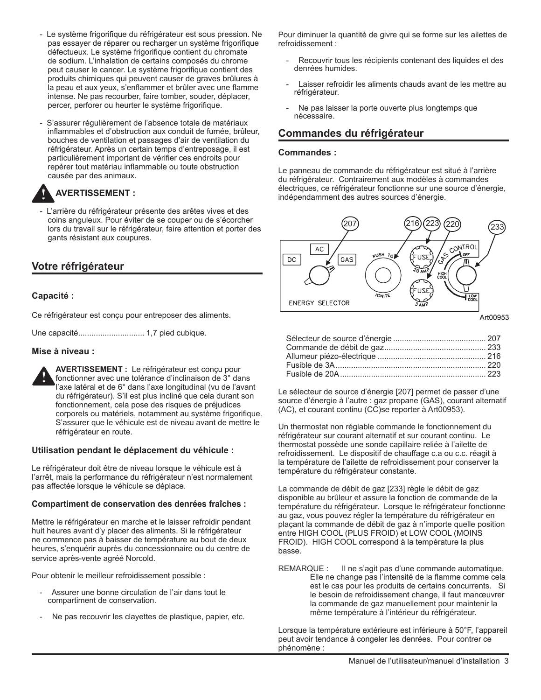- Le système frigorifique du réfrigérateur est sous pression. Ne pas essayer de réparer ou recharger un système frigorifique défectueux. Le système frigorifique contient du chromate de sodium. L'inhalation de certains composés du chrome peut causer le cancer. Le système frigorifique contient des produits chimiques qui peuvent causer de graves brûlures à la peau et aux yeux, s'enflammer et brûler avec une flamme intense. Ne pas recourber, faire tomber, souder, déplacer, percer, perforer ou heurter le système frigorifique.
- S'assurer régulièrement de l'absence totale de matériaux inflammables et d'obstruction aux conduit de fumée, brûleur, bouches de ventilation et passages d'air de ventilation du réfrigérateur. Après un certain temps d'entreposage, il est particulièrement important de vérifier ces endroits pour repérer tout matériau inflammable ou toute obstruction causée par des animaux.

#### **AVERTISSEMENT : !**

- L'arrière du réfrigérateur présente des arêtes vives et des coins anguleux. Pour éviter de se couper ou de s'écorcher lors du travail sur le réfrigérateur, faire attention et porter des gants résistant aux coupures.

## **Votre réfrigérateur**

### **Capacité :**

Ce réfrigérateur est conçu pour entreposer des aliments.

Une capacité.............................. 1,7 pied cubique.

#### **Mise à niveau :**



**AVERTISSEMENT :** Le réfrigérateur est conçu pour fonctionner avec une tolérance d'inclinaison de 3° dans l'axe latéral et de 6° dans l'axe longitudinal (vu de l'avant du réfrigérateur). S'il est plus incliné que cela durant son fonctionnement, cela pose des risques de préjudices corporels ou matériels, notamment au système frigorifique. S'assurer que le véhicule est de niveau avant de mettre le réfrigérateur en route.

#### **Utilisation pendant le déplacement du véhicule :**

Le réfrigérateur doit être de niveau lorsque le véhicule est à l'arrêt, mais la performance du réfrigérateur n'est normalement pas affectée lorsque le véhicule se déplace.

#### **Compartiment de conservation des denrées fraîches :**

Mettre le réfrigérateur en marche et le laisser refroidir pendant huit heures avant d'y placer des aliments. Si le réfrigérateur ne commence pas à baisser de température au bout de deux heures, s'enquérir auprès du concessionnaire ou du centre de service après-vente agréé Norcold.

Pour obtenir le meilleur refroidissement possible :

- Assurer une bonne circulation de l'air dans tout le compartiment de conservation.
- Ne pas recouvrir les clayettes de plastique, papier, etc.

Pour diminuer la quantité de givre qui se forme sur les ailettes de refroidissement :

- Recouvrir tous les récipients contenant des liquides et des denrées humides.
- Laisser refroidir les aliments chauds avant de les mettre au réfrigérateur.
- Ne pas laisser la porte ouverte plus longtemps que nécessaire.

## **Commandes du réfrigérateur**

#### **Commandes :**

Le panneau de commande du réfrigérateur est situé à l'arrière du réfrigérateur. Contrairement aux modèles à commandes électriques, ce réfrigérateur fonctionne sur une source d'énergie, indépendamment des autres sources d'énergie.



Art00953

Le sélecteur de source d'énergie [207] permet de passer d'une source d'énergie à l'autre : gaz propane (GAS), courant alternatif (AC), et courant continu (CC)se reporter à Art00953).

Un thermostat non réglable commande le fonctionnement du réfrigérateur sur courant alternatif et sur courant continu. Le thermostat possède une sonde capillaire reliée à l'ailette de refroidissement. Le dispositif de chauffage c.a ou c.c. réagit à la température de l'ailette de refroidissement pour conserver la température du réfrigérateur constante.

La commande de débit de gaz [233] règle le débit de gaz disponible au brûleur et assure la fonction de commande de la température du réfrigérateur. Lorsque le réfrigérateur fonctionne au gaz, vous pouvez régler la température du réfrigérateur en plaçant la commande de débit de gaz à n'importe quelle position entre HIGH COOL (PLUS FROID) et LOW COOL (MOINS FROID). HIGH COOL correspond à la température la plus basse.

REMARQUE : Il ne s'agit pas d'une commande automatique. Elle ne change pas l'intensité de la flamme comme cela est le cas pour les produits de certains concurrents. Si le besoin de refroidissement change, il faut manœuvrer la commande de gaz manuellement pour maintenir la même température à l'intérieur du réfrigérateur.

Lorsque la température extérieure est inférieure à 50°F, l'appareil peut avoir tendance à congeler les denrées. Pour contrer ce phénomène :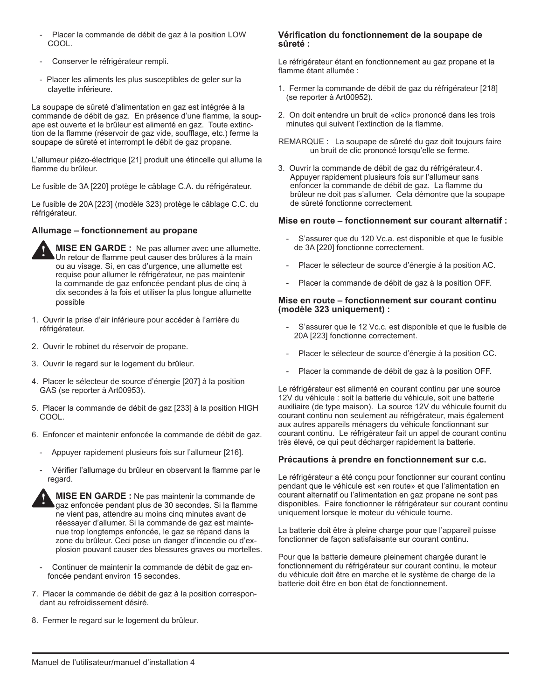- Placer la commande de débit de gaz à la position LOW COOL.
- Conserver le réfrigérateur rempli.
- Placer les aliments les plus susceptibles de geler sur la clayette inférieure.

La soupape de sûreté d'alimentation en gaz est intégrée à la commande de débit de gaz. En présence d'une flamme, la soupape est ouverte et le brûleur est alimenté en gaz. Toute extinction de la flamme (réservoir de gaz vide, soufflage, etc.) ferme la soupape de sûreté et interrompt le débit de gaz propane.

L'allumeur piézo-électrique [21] produit une étincelle qui allume la flamme du brûleur.

Le fusible de 3A [220] protège le câblage C.A. du réfrigérateur.

Le fusible de 20A [223] (modèle 323) protège le câblage C.C. du réfrigérateur.

#### **Allumage – fonctionnement au propane**



- 1. Ouvrir la prise d'air inférieure pour accéder à l'arrière du réfrigérateur.
- 2. Ouvrir le robinet du réservoir de propane.
- 3. Ouvrir le regard sur le logement du brûleur.
- 4. Placer le sélecteur de source d'énergie [207] à la position GAS (se reporter à Art00953).
- 5. Placer la commande de débit de gaz [233] à la position HIGH COOL.
- 6. Enfoncer et maintenir enfoncée la commande de débit de gaz.
	- Appuyer rapidement plusieurs fois sur l'allumeur [216].
	- Vérifier l'allumage du brûleur en observant la flamme par le regard.



- Continuer de maintenir la commande de débit de gaz enfoncée pendant environ 15 secondes.
- 7. Placer la commande de débit de gaz à la position correspondant au refroidissement désiré.
- 8. Fermer le regard sur le logement du brûleur.

#### **Vérification du fonctionnement de la soupape de sûreté :**

Le réfrigérateur étant en fonctionnement au gaz propane et la flamme étant allumée :

- 1. Fermer la commande de débit de gaz du réfrigérateur [218] (se reporter à Art00952).
- 2. On doit entendre un bruit de «clic» prononcé dans les trois minutes qui suivent l'extinction de la flamme.
- REMARQUE : La soupape de sûreté du gaz doit toujours faire un bruit de clic prononcé lorsqu'elle se ferme.
- 3. Ouvrir la commande de débit de gaz du réfrigérateur.4. Appuyer rapidement plusieurs fois sur l'allumeur sans enfoncer la commande de débit de gaz. La flamme du brûleur ne doit pas s'allumer. Cela démontre que la soupape de sûreté fonctionne correctement.

#### **Mise en route – fonctionnement sur courant alternatif :**

- S'assurer que du 120 Vc.a. est disponible et que le fusible de 3A [220] fonctionne correctement.
- Placer le sélecteur de source d'énergie à la position AC.
- Placer la commande de débit de gaz à la position OFF.

#### **Mise en route – fonctionnement sur courant continu (modèle 323 uniquement) :**

- S'assurer que le 12 Vc.c. est disponible et que le fusible de 20A [223] fonctionne correctement.
- Placer le sélecteur de source d'énergie à la position CC.
- Placer la commande de débit de gaz à la position OFF.

Le réfrigérateur est alimenté en courant continu par une source 12V du véhicule : soit la batterie du véhicule, soit une batterie auxiliaire (de type maison). La source 12V du véhicule fournit du courant continu non seulement au réfrigérateur, mais également aux autres appareils ménagers du véhicule fonctionnant sur courant continu. Le réfrigérateur fait un appel de courant continu très élevé, ce qui peut décharger rapidement la batterie.

#### **Précautions à prendre en fonctionnement sur c.c.**

Le réfrigérateur a été conçu pour fonctionner sur courant continu pendant que le véhicule est «en route» et que l'alimentation en courant alternatif ou l'alimentation en gaz propane ne sont pas disponibles. Faire fonctionner le réfrigérateur sur courant continu uniquement lorsque le moteur du véhicule tourne.

La batterie doit être à pleine charge pour que l'appareil puisse fonctionner de façon satisfaisante sur courant continu.

Pour que la batterie demeure pleinement chargée durant le fonctionnement du réfrigérateur sur courant continu, le moteur du véhicule doit être en marche et le système de charge de la batterie doit être en bon état de fonctionnement.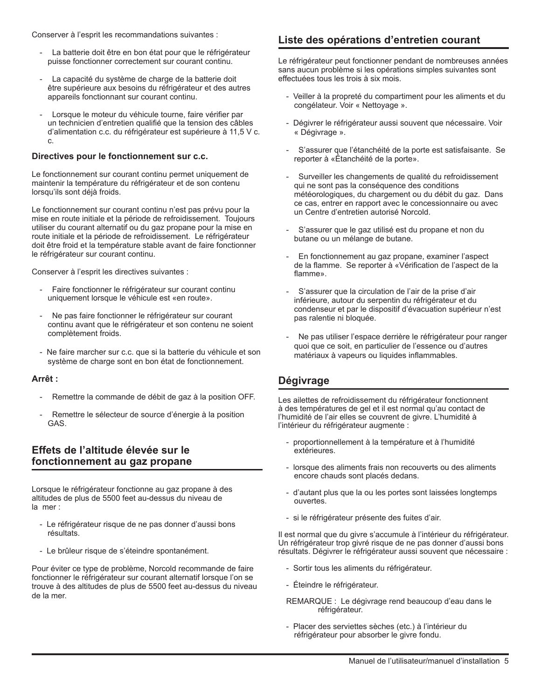Conserver à l'esprit les recommandations suivantes :

- La batterie doit être en bon état pour que le réfrigérateur puisse fonctionner correctement sur courant continu.
- La capacité du système de charge de la batterie doit être supérieure aux besoins du réfrigérateur et des autres appareils fonctionnant sur courant continu.
- Lorsque le moteur du véhicule tourne, faire vérifier par un technicien d'entretien qualifié que la tension des câbles d'alimentation c.c. du réfrigérateur est supérieure à 11,5 V c. c.

#### **Directives pour le fonctionnement sur c.c.**

Le fonctionnement sur courant continu permet uniquement de maintenir la température du réfrigérateur et de son contenu lorsqu'ils sont déjà froids.

Le fonctionnement sur courant continu n'est pas prévu pour la mise en route initiale et la période de refroidissement. Toujours utiliser du courant alternatif ou du gaz propane pour la mise en route initiale et la période de refroidissement. Le réfrigérateur doit être froid et la température stable avant de faire fonctionner le réfrigérateur sur courant continu.

Conserver à l'esprit les directives suivantes :

- Faire fonctionner le réfrigérateur sur courant continu uniquement lorsque le véhicule est «en route».
- Ne pas faire fonctionner le réfrigérateur sur courant continu avant que le réfrigérateur et son contenu ne soient complètement froids.
- Ne faire marcher sur c.c. que si la batterie du véhicule et son système de charge sont en bon état de fonctionnement.

#### **Arrêt :**

- Remettre la commande de débit de gaz à la position OFF.
- Remettre le sélecteur de source d'énergie à la position GAS.

### **Effets de l'altitude élevée sur le fonctionnement au gaz propane**

Lorsque le réfrigérateur fonctionne au gaz propane à des altitudes de plus de 5500 feet au-dessus du niveau de la mer :

- Le réfrigérateur risque de ne pas donner d'aussi bons résultats.
- Le brûleur risque de s'éteindre spontanément.

Pour éviter ce type de problème, Norcold recommande de faire fonctionner le réfrigérateur sur courant alternatif lorsque l'on se trouve à des altitudes de plus de 5500 feet au-dessus du niveau de la mer.

## **Liste des opérations d'entretien courant**

Le réfrigérateur peut fonctionner pendant de nombreuses années sans aucun problème si les opérations simples suivantes sont effectuées tous les trois à six mois.

- Veiller à la propreté du compartiment pour les aliments et du congélateur. Voir « Nettoyage ».
- Dégivrer le réfrigérateur aussi souvent que nécessaire. Voir « Dégivrage ».
- S'assurer que l'étanchéité de la porte est satisfaisante. Se reporter à «Étanchéité de la porte».
- Surveiller les changements de qualité du refroidissement qui ne sont pas la conséquence des conditions météorologiques, du chargement ou du débit du gaz. Dans ce cas, entrer en rapport avec le concessionnaire ou avec un Centre d'entretien autorisé Norcold.
- S'assurer que le gaz utilisé est du propane et non du butane ou un mélange de butane.
- En fonctionnement au gaz propane, examiner l'aspect de la flamme. Se reporter à «Vérification de l'aspect de la flamme».
- S'assurer que la circulation de l'air de la prise d'air inférieure, autour du serpentin du réfrigérateur et du condenseur et par le dispositif d'évacuation supérieur n'est pas ralentie ni bloquée.
- Ne pas utiliser l'espace derrière le réfrigérateur pour ranger quoi que ce soit, en particulier de l'essence ou d'autres matériaux à vapeurs ou liquides inflammables.

## **Dégivrage**

Les ailettes de refroidissement du réfrigérateur fonctionnent à des températures de gel et il est normal qu'au contact de l'humidité de l'air elles se couvrent de givre. L'humidité à l'intérieur du réfrigérateur augmente :

- proportionnellement à la température et à l'humidité extérieures.
- lorsque des aliments frais non recouverts ou des aliments encore chauds sont placés dedans.
- d'autant plus que la ou les portes sont laissées longtemps ouvertes.
- si le réfrigérateur présente des fuites d'air.

Il est normal que du givre s'accumule à l'intérieur du réfrigérateur. Un réfrigérateur trop givré risque de ne pas donner d'aussi bons résultats. Dégivrer le réfrigérateur aussi souvent que nécessaire :

- Sortir tous les aliments du réfrigérateur.
- Éteindre le réfrigérateur.
- REMARQUE : Le dégivrage rend beaucoup d'eau dans le réfrigérateur.
- Placer des serviettes sèches (etc.) à l'intérieur du réfrigérateur pour absorber le givre fondu.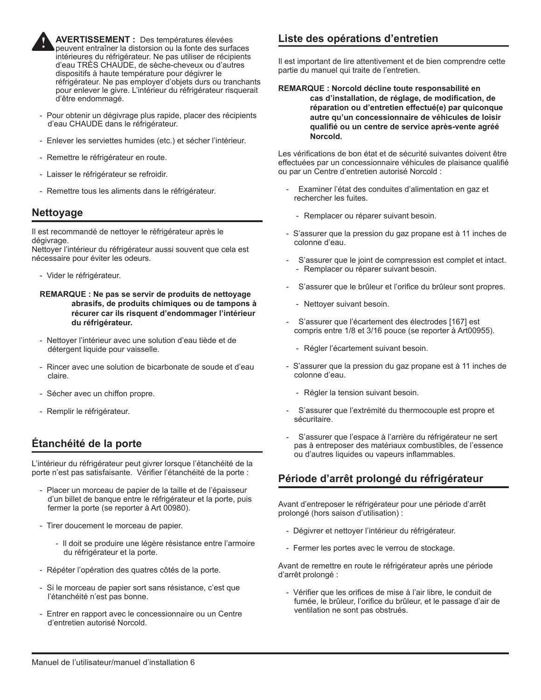

**AVERTISSEMENT :** Des températures élevées peuvent entraîner la distorsion ou la fonte des surfaces intérieures du réfrigérateur. Ne pas utiliser de récipients d'eau TRÈS CHAUDE, de sèche-cheveux ou d'autres dispositifs à haute température pour dégivrer le réfrigérateur. Ne pas employer d'objets durs ou tranchants pour enlever le givre. L'intérieur du réfrigérateur risquerait d'être endommagé.

- Pour obtenir un dégivrage plus rapide, placer des récipients d'eau CHAUDE dans le réfrigérateur.
- Enlever les serviettes humides (etc.) et sécher l'intérieur.
- Remettre le réfrigérateur en route.
- Laisser le réfrigérateur se refroidir.
- Remettre tous les aliments dans le réfrigérateur.

## **Nettoyage**

Il est recommandé de nettoyer le réfrigérateur après le dégivrage.

Nettoyer l'intérieur du réfrigérateur aussi souvent que cela est nécessaire pour éviter les odeurs.

- Vider le réfrigérateur.

#### **REMARQUE : Ne pas se servir de produits de nettoyage abrasifs, de produits chimiques ou de tampons à récurer car ils risquent d'endommager l'intérieur du réfrigérateur.**

- Nettoyer l'intérieur avec une solution d'eau tiède et de détergent liquide pour vaisselle.
- Rincer avec une solution de bicarbonate de soude et d'eau claire.
- Sécher avec un chiffon propre.
- Remplir le réfrigérateur.

## **Étanchéité de la porte**

L'intérieur du réfrigérateur peut givrer lorsque l'étanchéité de la porte n'est pas satisfaisante. Vérifier l'étanchéité de la porte :

- Placer un morceau de papier de la taille et de l'épaisseur d'un billet de banque entre le réfrigérateur et la porte, puis fermer la porte (se reporter à Art 00980).
- Tirer doucement le morceau de papier.
	- Il doit se produire une légère résistance entre l'armoire du réfrigérateur et la porte.
- Répéter l'opération des quatres côtés de la porte.
- Si le morceau de papier sort sans résistance, c'est que l'étanchéité n'est pas bonne.
- Entrer en rapport avec le concessionnaire ou un Centre d'entretien autorisé Norcold.

## **Liste des opérations d'entretien**

Il est important de lire attentivement et de bien comprendre cette partie du manuel qui traite de l'entretien.

#### **REMARQUE : Norcold décline toute responsabilité en cas d'installation, de réglage, de modification, de réparation ou d'entretien effectué(e) par quiconque autre qu'un concessionnaire de véhicules de loisir qualifié ou un centre de service après-vente agréé Norcold.**

Les vérifications de bon état et de sécurité suivantes doivent être effectuées par un concessionnaire véhicules de plaisance qualifié ou par un Centre d'entretien autorisé Norcold :

- Examiner l'état des conduites d'alimentation en gaz et rechercher les fuites.
	- Remplacer ou réparer suivant besoin.
- S'assurer que la pression du gaz propane est à 11 inches de colonne d'eau.
- S'assurer que le joint de compression est complet et intact. - Remplacer ou réparer suivant besoin.
- S'assurer que le brûleur et l'orifice du brûleur sont propres.
	- Nettoyer suivant besoin.
- S'assurer que l'écartement des électrodes [167] est compris entre 1/8 et 3/16 pouce (se reporter à Art00955).
	- Régler l'écartement suivant besoin.
- S'assurer que la pression du gaz propane est à 11 inches de colonne d'eau.
	- Régler la tension suivant besoin.
- S'assurer que l'extrémité du thermocouple est propre et sécuritaire.
- S'assurer que l'espace à l'arrière du réfrigérateur ne sert pas à entreposer des matériaux combustibles, de l'essence ou d'autres liquides ou vapeurs inflammables.

## **Période d'arrêt prolongé du réfrigérateur**

Avant d'entreposer le réfrigérateur pour une période d'arrêt prolongé (hors saison d'utilisation) :

- Dégivrer et nettoyer l'intérieur du réfrigérateur.
- Fermer les portes avec le verrou de stockage.

Avant de remettre en route le réfrigérateur après une période d'arrêt prolongé :

- Vérifier que les orifices de mise à l'air libre, le conduit de fumée, le brûleur, l'orifice du brûleur, et le passage d'air de ventilation ne sont pas obstrués.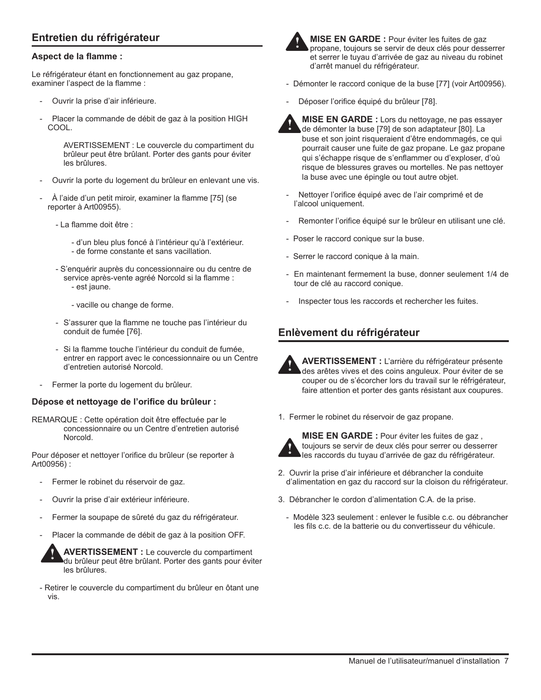## **Entretien du réfrigérateur**

#### **Aspect de la flamme :**

Le réfrigérateur étant en fonctionnement au gaz propane, examiner l'aspect de la flamme :

- Ouvrir la prise d'air inférieure.
- Placer la commande de débit de gaz à la position HIGH COOL.

AVERTISSEMENT : Le couvercle du compartiment du brûleur peut être brûlant. Porter des gants pour éviter les brûlures.

- Ouvrir la porte du logement du brûleur en enlevant une vis.
- À l'aide d'un petit miroir, examiner la flamme [75] (se reporter à Art00955).
	- La flamme doit être :
		- d'un bleu plus foncé à l'intérieur qu'à l'extérieur.
		- de forme constante et sans vacillation.
	- S'enquérir auprès du concessionnaire ou du centre de service après-vente agréé Norcold si la flamme : - est jaune.
		- vacille ou change de forme.
	- S'assurer que la flamme ne touche pas l'intérieur du conduit de fumée [76].
	- Si la flamme touche l'intérieur du conduit de fumée, entrer en rapport avec le concessionnaire ou un Centre d'entretien autorisé Norcold.
- Fermer la porte du logement du brûleur.

#### **Dépose et nettoyage de l'orifice du brûleur :**

REMARQUE : Cette opération doit être effectuée par le concessionnaire ou un Centre d'entretien autorisé Norcold.

Pour déposer et nettoyer l'orifice du brûleur (se reporter à Art00956) :

- Fermer le robinet du réservoir de gaz.
- Ouvrir la prise d'air extérieur inférieure.
- Fermer la soupape de sûreté du gaz du réfrigérateur.
- Placer la commande de débit de gaz à la position OFF.

**AVERTISSEMENT :** Le couvercle du compartiment du brûleur peut être brûlant. Porter des gants pour éviter les brûlures. **!**

- Retirer le couvercle du compartiment du brûleur en ôtant une vis.



**MISE EN GARDE :** Pour éviter les fuites de gaz propane, toujours se servir de deux clés pour desserrer et serrer le tuyau d'arrivée de gaz au niveau du robinet d'arrêt manuel du réfrigérateur.

- Démonter le raccord conique de la buse [77] (voir Art00956).
- Déposer l'orifice équipé du brûleur [78].



- **MISE EN GARDE :** Lors du nettoyage, ne pas essayer de démonter la buse [79] de son adaptateur [80]. La buse et son joint risqueraient d'être endommagés, ce qui pourrait causer une fuite de gaz propane. Le gaz propane qui s'échappe risque de s'enflammer ou d'exploser, d'où risque de blessures graves ou mortelles. Ne pas nettoyer la buse avec une épingle ou tout autre objet. **!**
- Nettoyer l'orifice équipé avec de l'air comprimé et de l'alcool uniquement.
- Remonter l'orifice équipé sur le brûleur en utilisant une clé.
- Poser le raccord conique sur la buse.
- Serrer le raccord conique à la main.
- En maintenant fermement la buse, donner seulement 1/4 de tour de clé au raccord conique.
- Inspecter tous les raccords et rechercher les fuites.

## **Enlèvement du réfrigérateur**



**AVERTISSEMENT :** L'arrière du réfrigérateur présente des arêtes vives et des coins anguleux. Pour éviter de se couper ou de s'écorcher lors du travail sur le réfrigérateur, faire attention et porter des gants résistant aux coupures.

1. Fermer le robinet du réservoir de gaz propane.



**MISE EN GARDE :** Pour éviter les fuites de gaz , toujours se servir de deux clés pour serrer ou desserrer les raccords du tuyau d'arrivée de gaz du réfrigérateur.

- 2. Ouvrir la prise d'air inférieure et débrancher la conduite d'alimentation en gaz du raccord sur la cloison du réfrigérateur.
- 3. Débrancher le cordon d'alimentation C.A. de la prise.
	- Modèle 323 seulement : enlever le fusible c.c. ou débrancher les fils c.c. de la batterie ou du convertisseur du véhicule.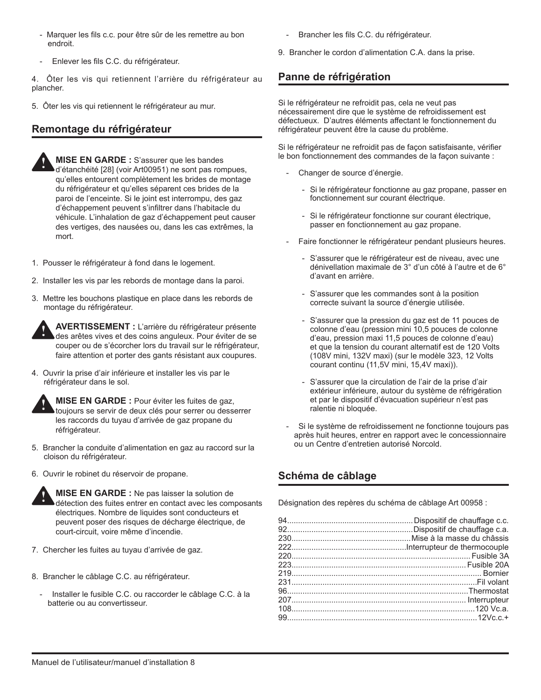- Marquer les fils c.c. pour être sûr de les remettre au bon endroit.
- Enlever les fils C.C. du réfrigérateur.

4. Ôter les vis qui retiennent l'arrière du réfrigérateur au plancher.

5. Ôter les vis qui retiennent le réfrigérateur au mur.

## **Remontage du réfrigérateur**



**MISE EN GARDE :** S'assurer que les bandes d'étanchéité [28] (voir Art00951) ne sont pas rompues, qu'elles entourent complètement les brides de montage du réfrigérateur et qu'elles séparent ces brides de la paroi de l'enceinte. Si le joint est interrompu, des gaz d'échappement peuvent s'infiltrer dans l'habitacle du véhicule. L'inhalation de gaz d'échappement peut causer des vertiges, des nausées ou, dans les cas extrêmes, la mort.

- 1. Pousser le réfrigérateur à fond dans le logement.
- 2. Installer les vis par les rebords de montage dans la paroi.
- 3. Mettre les bouchons plastique en place dans les rebords de montage du réfrigérateur.



**AVERTISSEMENT :** L'arrière du réfrigérateur présente des arêtes vives et des coins anguleux. Pour éviter de se couper ou de s'écorcher lors du travail sur le réfrigérateur, faire attention et porter des gants résistant aux coupures.

4. Ouvrir la prise d'air inférieure et installer les vis par le réfrigérateur dans le sol.



**MISE EN GARDE :** Pour éviter les fuites de gaz, toujours se servir de deux clés pour serrer ou desserrer les raccords du tuyau d'arrivée de gaz propane du réfrigérateur.

- 5. Brancher la conduite d'alimentation en gaz au raccord sur la cloison du réfrigérateur.
- 6. Ouvrir le robinet du réservoir de propane.



- 7. Chercher les fuites au tuyau d'arrivée de gaz.
- 8. Brancher le câblage C.C. au réfrigérateur.
	- Installer le fusible C.C. ou raccorder le câblage C.C. à la batterie ou au convertisseur.
- Brancher les fils C.C. du réfrigérateur.
- 9. Brancher le cordon d'alimentation C.A. dans la prise.

## **Panne de réfrigération**

Si le réfrigérateur ne refroidit pas, cela ne veut pas nécessairement dire que le système de refroidissement est défectueux. D'autres éléments affectant le fonctionnement du réfrigérateur peuvent être la cause du problème.

Si le réfrigérateur ne refroidit pas de façon satisfaisante, vérifier le bon fonctionnement des commandes de la façon suivante :

- Changer de source d'énergie.
	- Si le réfrigérateur fonctionne au gaz propane, passer en fonctionnement sur courant électrique.
	- Si le réfrigérateur fonctionne sur courant électrique, passer en fonctionnement au gaz propane.
- Faire fonctionner le réfrigérateur pendant plusieurs heures.
	- S'assurer que le réfrigérateur est de niveau, avec une dénivellation maximale de 3° d'un côté à l'autre et de 6° d'avant en arrière.
	- S'assurer que les commandes sont à la position correcte suivant la source d'énergie utilisée.
	- S'assurer que la pression du gaz est de 11 pouces de colonne d'eau (pression mini 10,5 pouces de colonne d'eau, pression maxi 11,5 pouces de colonne d'eau) et que la tension du courant alternatif est de 120 Volts (108V mini, 132V maxi) (sur le modèle 323, 12 Volts courant continu (11,5V mini, 15,4V maxi)).
	- S'assurer que la circulation de l'air de la prise d'air extérieur inférieure, autour du système de réfrigération et par le dispositif d'évacuation supérieur n'est pas ralentie ni bloquée.
- Si le système de refroidissement ne fonctionne toujours pas après huit heures, entrer en rapport avec le concessionnaire ou un Centre d'entretien autorisé Norcold.

## **Schéma de câblage**

Désignation des repères du schéma de câblage Art 00958 :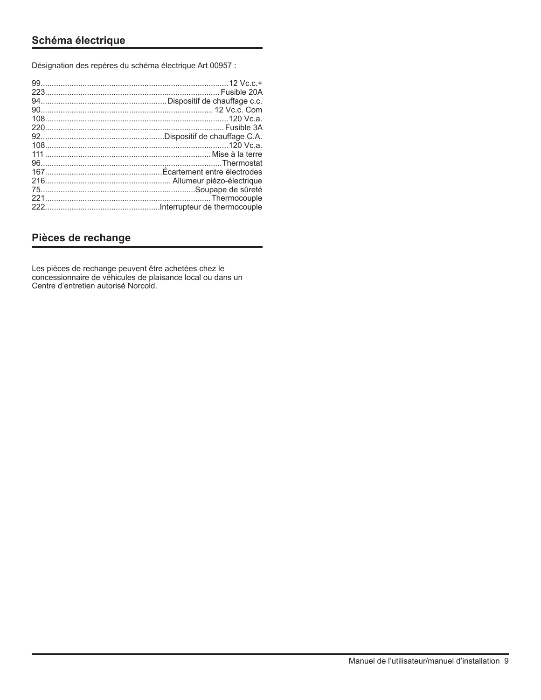## **Schéma électrique**

Désignation des repères du schéma électrique Art 00957 :

| 111 ……………………………………………………………………… Mise à la terre |  |
|-------------------------------------------------|--|
|                                                 |  |
|                                                 |  |
|                                                 |  |
|                                                 |  |
|                                                 |  |
|                                                 |  |
|                                                 |  |

## **Pièces de rechange**

Les pièces de rechange peuvent être achetées chez le concessionnaire de véhicules de plaisance local ou dans un Centre d'entretien autorisé Norcold.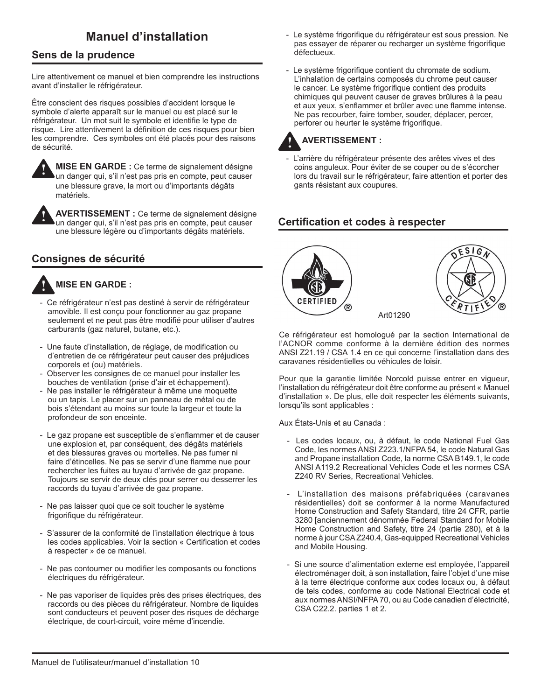## **Sens de la prudence**

Lire attentivement ce manuel et bien comprendre les instructions avant d'installer le réfrigérateur.

Être conscient des risques possibles d'accident lorsque le symbole d'alerte apparaît sur le manuel ou est placé sur le réfrigérateur. Un mot suit le symbole et identifie le type de risque. Lire attentivement la définition de ces risques pour bien les comprendre. Ces symboles ont été placés pour des raisons de sécurité.



**!**

**MISE EN GARDE :** Ce terme de signalement désigne un danger qui, s'il n'est pas pris en compte, peut causer une blessure grave, la mort ou d'importants dégâts matériels.

**AVERTISSEMENT :** Ce terme de signalement désigne un danger qui, s'il n'est pas pris en compte, peut causer une blessure légère ou d'importants dégâts matériels.

## **Consignes de sécurité**



### **MISE EN GARDE :**

- Ce réfrigérateur n'est pas destiné à servir de réfrigérateur amovible. Il est conçu pour fonctionner au gaz propane seulement et ne peut pas être modifié pour utiliser d'autres carburants (gaz naturel, butane, etc.).
- Une faute d'installation, de réglage, de modification ou d'entretien de ce réfrigérateur peut causer des préjudices corporels et (ou) matériels.
- Observer les consignes de ce manuel pour installer les bouches de ventilation (prise d'air et échappement).
- Ne pas installer le réfrigérateur à même une moquette ou un tapis. Le placer sur un panneau de métal ou de bois s'étendant au moins sur toute la largeur et toute la profondeur de son enceinte.
- Le gaz propane est susceptible de s'enflammer et de causer une explosion et, par conséquent, des dégâts matériels et des blessures graves ou mortelles. Ne pas fumer ni faire d'étincelles. Ne pas se servir d'une flamme nue pour rechercher les fuites au tuyau d'arrivée de gaz propane. Toujours se servir de deux clés pour serrer ou desserrer les raccords du tuyau d'arrivée de gaz propane.
- Ne pas laisser quoi que ce soit toucher le système frigorifique du réfrigérateur.
- S'assurer de la conformité de l'installation électrique à tous les codes applicables. Voir la section « Certification et codes à respecter » de ce manuel.
- Ne pas contourner ou modifier les composants ou fonctions électriques du réfrigérateur.
- Ne pas vaporiser de liquides près des prises électriques, des raccords ou des pièces du réfrigérateur. Nombre de liquides sont conducteurs et peuvent poser des risques de décharge électrique, de court-circuit, voire même d'incendie.
- **Manuel d'installation** Le système frigorifique du réfrigérateur est sous pression. Ne pas essayer de réparer ou recharger un système frigorifique défectueux.
	- Le système frigorifique contient du chromate de sodium. L'inhalation de certains composés du chrome peut causer le cancer. Le système frigorifique contient des produits chimiques qui peuvent causer de graves brûlures à la peau et aux yeux, s'enflammer et brûler avec une flamme intense. Ne pas recourber, faire tomber, souder, déplacer, percer, perforer ou heurter le système frigorifique.

#### **AVERTISSEMENT : !**

L'arrière du réfrigérateur présente des arêtes vives et des coins anguleux. Pour éviter de se couper ou de s'écorcher lors du travail sur le réfrigérateur, faire attention et porter des gants résistant aux coupures.

## **Certification et codes à respecter**



Ce réfrigérateur est homologué par la section International de l'ACNOR comme conforme à la dernière édition des normes ANSI Z21.19 / CSA 1.4 en ce qui concerne l'installation dans des caravanes résidentielles ou véhicules de loisir.

Pour que la garantie limitée Norcold puisse entrer en vigueur, l'installation du réfrigérateur doit être conforme au présent « Manuel d'installation ». De plus, elle doit respecter les éléments suivants, lorsqu'ils sont applicables :

Aux États-Unis et au Canada :

- Les codes locaux, ou, à défaut, le code National Fuel Gas Code, les normes ANSI Z223.1/NFPA 54, le code Natural Gas and Propane installation Code, la norme CSA B149.1, le code ANSI A119.2 Recreational Vehicles Code et les normes CSA Z240 RV Series, Recreational Vehicles.
- L'installation des maisons préfabriquées (caravanes résidentielles) doit se conformer à la norme Manufactured Home Construction and Safety Standard, titre 24 CFR, partie 3280 [anciennement dénommée Federal Standard for Mobile Home Construction and Safety, titre 24 (partie 280), et à la norme à jour CSA Z240.4, Gas-equipped Recreational Vehicles and Mobile Housing.
- Si une source d'alimentation externe est employée, l'appareil électroménager doit, à son installation, faire l'objet d'une mise à la terre électrique conforme aux codes locaux ou, à défaut de tels codes, conforme au code National Electrical code et aux normes ANSI/NFPA 70, ou au Code canadien d'électricité, CSA C22.2. parties 1 et 2.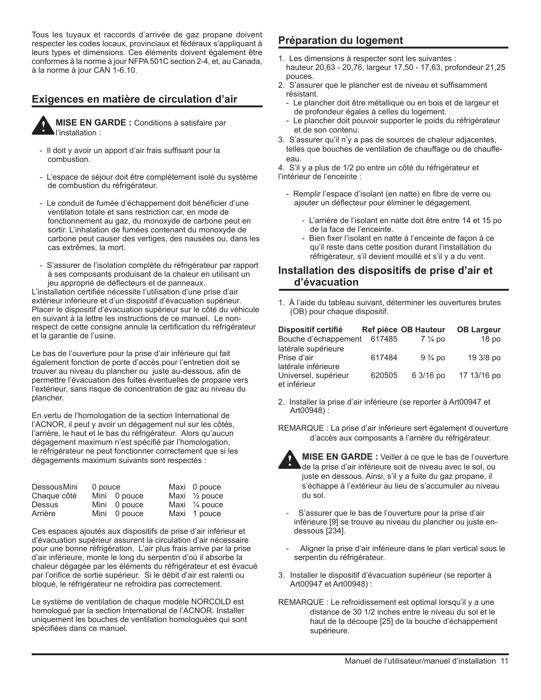Tous les tuyaux et raccords d'arrivée de gaz propane doivent respecter les codes locaux, provinciaux et fédéraux s'appliquant à leurs types et dimensions. Ces éléments doivent également être conformes à la norme à jour NFPA 501C section 2-4, et, au Canada, à la norme à jour CAN 1-6.10.

## **Exigences en matière de circulation d'air**



**MISE EN GARDE :** Conditions à satisfaire par l'installation :

- Il doit y avoir un apport d'air frais suffisant pour la combustion.
- L'espace de séjour doit être complètement isolé du système de combustion du réfrigérateur.
- Le conduit de fumée d'échappement doit bénéficier d'une ventilation totale et sans restriction car, en mode de fonctionnement au gaz, du monoxyde de carbone peut en sortir. L'inhalation de fumées contenant du monoxyde de carbone peut causer des vertiges, des nausées ou, dans les cas extrêmes, la mort.
- S'assurer de l'isolation complète du réfrigérateur par rapport à ses composants produisant de la chaleur en utilisant un jeu approprié de déflecteurs et de panneaux.

L'installation certifiée nécessite l'utilisation d'une prise d'air extérieur inférieure et d'un dispositif d'évacuation supérieur. Placer le dispositif d'évacuation supérieur sur le côté du véhicule en suivant à la lettre les instructions de ce manuel. Le nonrespect de cette consigne annule la certification du réfrigérateur et la garantie de l'usine.

Le bas de l'ouverture pour la prise d'air inférieure qui fait également fonction de porte d'accès pour l'entretien doit se trouver au niveau du plancher ou juste au-dessous, afin de permettre l'évacuation des fuites éventuelles de propane vers l'extérieur, sans risque de concentration de gaz au niveau du plancher.

En vertu de l'homologation de la section International de l'ACNOR, il peut y avoir un dégagement nul sur les côtés, l'arrière, le haut et le bas du réfrigérateur. Alors qu'aucun dégagement maximum n'est spécifié par l'homologation, le réfrigérateur ne peut fonctionner correctement que si les dégagements maximum suivants sont respectés :

| <b>DessousMini</b> | 0 pouce |              | Maxi 0 pouce             |
|--------------------|---------|--------------|--------------------------|
| Chaque côté        |         | Mini 0 pouce | Maxi $\frac{1}{2}$ pouce |
| Dessus             |         | Mini 0 pouce | Maxi $\frac{1}{4}$ pouce |
| Arrière            |         | Mini 0 pouce | Maxi 1 pouce             |

Ces espaces ajoutés aux dispositifs de prise d'air inférieur et d'évacuation supérieur assurent la circulation d'air nécessaire pour une bonne réfrigération. L'air plus frais arrive par la prise d'air inférieure, monte le long du serpentin d'où il absorbe la chaleur dégagée par les éléments du réfrigérateur et est évacué par l'orifice de sortie supérieur. Si le débit d'air est ralenti ou bloqué, le réfrigérateur ne refroidira pas correctement.

Le système de ventilation de chaque modèle NORCOLD est homologué par la section International de l'ACNOR. Installer uniquement les bouches de ventilation homologuées qui sont spécifiées dans ce manuel.

## **Préparation du logement**

- 1. Les dimensions à respecter sont les suivantes : hauteur 20,63 - 20,76, largeur 17,50 - 17,63, profondeur 21,25 pouces.
- 2. S'assurer que le plancher est de niveau et suffisamment résistant.
	- Le plancher doit être métallique ou en bois et de largeur et de profondeur égales à celles du logement.
	- Le plancher doit pouvoir supporter le poids du réfrigérateur et de son contenu.
- 3. S'assurer qu'il n'y a pas de sources de chaleur adjacentes, telles que bouches de ventilation de chauffage ou de chauffeeau.

4. S'il y a plus de 1/2 po entre un côté du réfrigérateur et l'intérieur de l'enceinte :

- Remplir l'espace d'isolant (en natte) en fibre de verre ou ajouter un déflecteur pour éliminer le dégagement.
	- L'arrière de l'isolant en natte doit être entre 14 et 15 po de la face de l'enceinte.
	- Bien fixer l'isolant en natte à l'enceinte de façon à ce qu'il reste dans cette position durant l'installation du réfrigérateur, s'il devient mouillé et s'il y a du vent.

### **Installation des dispositifs de prise d'air et d'évacuation**

1. À l'aide du tableau suivant, déterminer les ouvertures brutes (OB) pour chaque dispositif.

| Dispositif certifié                                       |        | Ref pièce OB Hauteur | <b>OB Largeur</b> |
|-----------------------------------------------------------|--------|----------------------|-------------------|
| Bouche d'échappement                                      | 617485 | $7\frac{1}{4}$ po    | 18 <sub>po</sub>  |
| latérale supérieure<br>Prise d'air<br>latérale inférieure | 617484 | $9\frac{3}{4}$ po    | 19 3/8 po         |
| Universel, supérieur<br>et inférieur                      | 620505 | 6 3/16 po            | 17 13/16 po       |

- 2. Installer la prise d'air inférieure (se reporter à Art00947 et Art00948) :
- REMARQUE : La prise d'air inférieure sert également d'ouverture d'accès aux composants à l'arrière du réfrigérateur.



**MISE EN GARDE :** Veiller à ce que le bas de l'ouverture de la prise d'air inférieure soit de niveau avec le sol, ou juste en dessous. Ainsi, s'il y a fuite du gaz propane, il s'échappe à l'extérieur au lieu de s'accumuler au niveau du sol.

- S'assurer que le bas de l'ouverture pour la prise d'air inférieure [9] se trouve au niveau du plancher ou juste endessous [234].
- Aligner la prise d'air inférieure dans le plan vertical sous le serpentin du réfrigérateur.
- 3. Installer le dispositif d'évacuation supérieur (se reporter à Art00947 et Art00948) :
- REMARQUE : Le refroidissement est optimal lorsqu'il y a une distance de 30 1/2 inches entre le niveau du sol et le haut de la découpe [25] de la bouche d'échappement supérieure.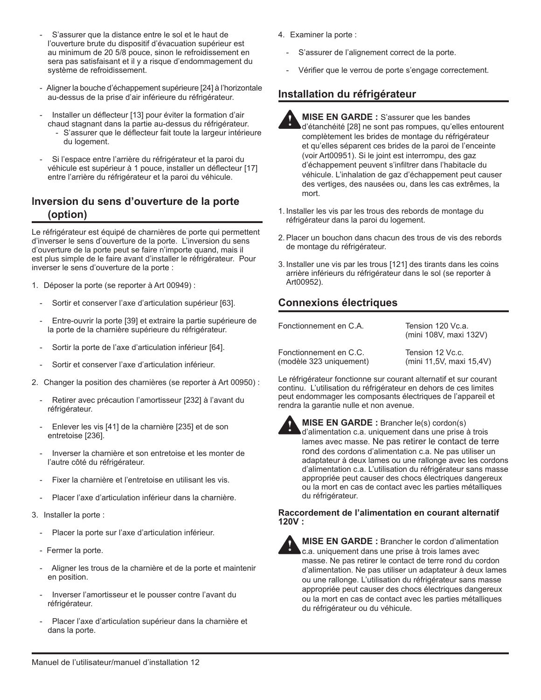- S'assurer que la distance entre le sol et le haut de l'ouverture brute du dispositif d'évacuation supérieur est au minimum de 20 5/8 pouce, sinon le refroidissement en sera pas satisfaisant et il y a risque d'endommagement du système de refroidissement.
- Aligner la bouche d'échappement supérieure [24] à l'horizontale au-dessus de la prise d'air inférieure du réfrigérateur.
- Installer un déflecteur [13] pour éviter la formation d'air chaud stagnant dans la partie au-dessus du réfrigérateur. - S'assurer que le déflecteur fait toute la largeur intérieure du logement.
- Si l'espace entre l'arrière du réfrigérateur et la paroi du véhicule est supérieur à 1 pouce, installer un déflecteur [17] entre l'arrière du réfrigérateur et la paroi du véhicule.

## **Inversion du sens d'ouverture de la porte (option)**

Le réfrigérateur est équipé de charnières de porte qui permettent d'inverser le sens d'ouverture de la porte. L'inversion du sens d'ouverture de la porte peut se faire n'importe quand, mais il est plus simple de le faire avant d'installer le réfrigérateur. Pour inverser le sens d'ouverture de la porte :

- 1. Déposer la porte (se reporter à Art 00949) :
	- Sortir et conserver l'axe d'articulation supérieur [63].
	- Entre-ouvrir la porte [39] et extraire la partie supérieure de la porte de la charnière supérieure du réfrigérateur.
	- Sortir la porte de l'axe d'articulation inférieur [64].
	- Sortir et conserver l'axe d'articulation inférieur.
- 2. Changer la position des charnières (se reporter à Art 00950) :
	- Retirer avec précaution l'amortisseur [232] à l'avant du réfrigérateur.
	- Enlever les vis [41] de la charnière [235] et de son entretoise [236].
	- Inverser la charnière et son entretoise et les monter de l'autre côté du réfrigérateur.
	- Fixer la charnière et l'entretoise en utilisant les vis.
	- Placer l'axe d'articulation inférieur dans la charnière.
- 3. Installer la porte :
	- Placer la porte sur l'axe d'articulation inférieur.
	- Fermer la porte.
	- Aligner les trous de la charnière et de la porte et maintenir en position.
	- Inverser l'amortisseur et le pousser contre l'avant du réfrigérateur.
	- Placer l'axe d'articulation supérieur dans la charnière et dans la porte.
- 4. Examiner la porte :
	- S'assurer de l'alignement correct de la porte.
	- Vérifier que le verrou de porte s'engage correctement.

## **Installation du réfrigérateur**

- **MISE EN GARDE :** S'assurer que les bandes d'étanchéité [28] ne sont pas rompues, qu'elles entourent complètement les brides de montage du réfrigérateur et qu'elles séparent ces brides de la paroi de l'enceinte (voir Art00951). Si le joint est interrompu, des gaz d'échappement peuvent s'infiltrer dans l'habitacle du véhicule. L'inhalation de gaz d'échappement peut causer des vertiges, des nausées ou, dans les cas extrêmes, la mort. **!**
- 1. Installer les vis par les trous des rebords de montage du réfrigérateur dans la paroi du logement.
- 2.Placer un bouchon dans chacun des trous de vis des rebords de montage du réfrigérateur.
- 3. Installer une vis par les trous [121] des tirants dans les coins arrière inférieurs du réfrigérateur dans le sol (se reporter à Art00952).

## **Connexions électriques**

Fonctionnement en C.A. Tension 120 Vc.a.

(mini 108V, maxi 132V)

Fonctionnement en C.C. Tension 12 Vc.c. (modèle 323 uniquement) (mini 11,5V, maxi 15,4V)

Le réfrigérateur fonctionne sur courant alternatif et sur courant continu. L'utilisation du réfrigérateur en dehors de ces limites peut endommager les composants électriques de l'appareil et rendra la garantie nulle et non avenue.



**MISE EN GARDE :** Brancher le(s) cordon(s) d'alimentation c.a. uniquement dans une prise à trois lames avec masse. Ne pas retirer le contact de terre rond des cordons d'alimentation c.a. Ne pas utiliser un adaptateur à deux lames ou une rallonge avec les cordons d'alimentation c.a. L'utilisation du réfrigérateur sans masse appropriée peut causer des chocs électriques dangereux ou la mort en cas de contact avec les parties métalliques du réfrigérateur.

**Raccordement de l'alimentation en courant alternatif 120V :** 



**MISE EN GARDE :** Brancher le cordon d'alimentation c.a. uniquement dans une prise à trois lames avec masse. Ne pas retirer le contact de terre rond du cordon d'alimentation. Ne pas utiliser un adaptateur à deux lames ou une rallonge. L'utilisation du réfrigérateur sans masse appropriée peut causer des chocs électriques dangereux ou la mort en cas de contact avec les parties métalliques du réfrigérateur ou du véhicule.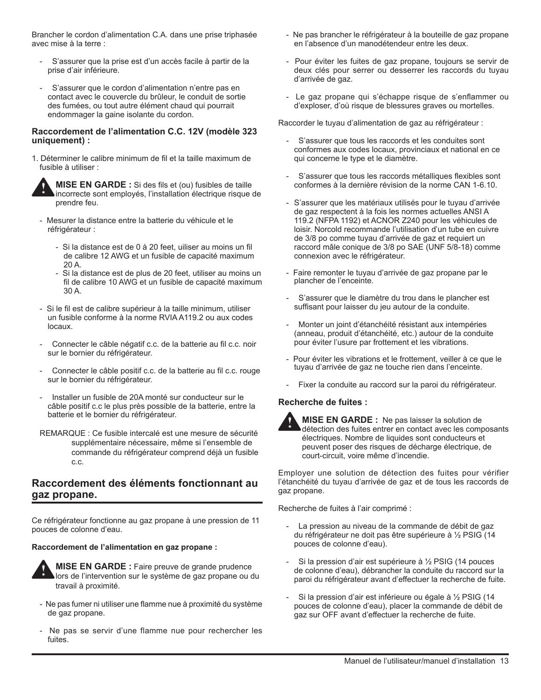Brancher le cordon d'alimentation C.A. dans une prise triphasée avec mise à la terre :

- S'assurer que la prise est d'un accès facile à partir de la prise d'air inférieure.
- S'assurer que le cordon d'alimentation n'entre pas en contact avec le couvercle du brûleur, le conduit de sortie des fumées, ou tout autre élément chaud qui pourrait endommager la gaine isolante du cordon.

#### **Raccordement de l'alimentation C.C. 12V (modèle 323 uniquement) :**

1. Déterminer le calibre minimum de fil et la taille maximum de fusible à utiliser :

**!**

**MISE EN GARDE :** Si des fils et (ou) fusibles de taille incorrecte sont employés, l'installation électrique risque de prendre feu.

- Mesurer la distance entre la batterie du véhicule et le réfrigérateur :
	- Si la distance est de 0 à 20 feet, uiliser au moins un fil de calibre 12 AWG et un fusible de capacité maximum 20 A.
	- Si la distance est de plus de 20 feet, utiliser au moins un fil de calibre 10 AWG et un fusible de capacité maximum 30 A.
- Si le fil est de calibre supérieur à la taille minimum, utiliser un fusible conforme à la norme RVIA A119.2 ou aux codes locaux.
- Connecter le câble négatif c.c. de la batterie au fil c.c. noir sur le bornier du réfrigérateur.
- Connecter le câble positif c.c. de la batterie au fil c.c. rouge sur le bornier du réfrigérateur.
- Installer un fusible de 20A monté sur conducteur sur le câble positif c.c le plus près possible de la batterie, entre la batterie et le bornier du réfrigérateur.
- REMARQUE : Ce fusible intercalé est une mesure de sécurité supplémentaire nécessaire, même si l'ensemble de commande du réfrigérateur comprend déjà un fusible c.c.

## **Raccordement des éléments fonctionnant au gaz propane.**

Ce réfrigérateur fonctionne au gaz propane à une pression de 11 pouces de colonne d'eau.

#### **Raccordement de l'alimentation en gaz propane :**



**MISE EN GARDE :** Faire preuve de grande prudence lors de l'intervention sur le système de gaz propane ou du travail à proximité.

- Ne pas fumer ni utiliser une flamme nue à proximité du système de gaz propane.
- Ne pas se servir d'une flamme nue pour rechercher les fuites.
- Ne pas brancher le réfrigérateur à la bouteille de gaz propane en l'absence d'un manodétendeur entre les deux.
- Pour éviter les fuites de gaz propane, toujours se servir de deux clés pour serrer ou desserrer les raccords du tuyau d'arrivée de gaz.
- Le gaz propane qui s'échappe risque de s'enflammer ou d'exploser, d'où risque de blessures graves ou mortelles.

Raccorder le tuyau d'alimentation de gaz au réfrigérateur :

- S'assurer que tous les raccords et les conduites sont conformes aux codes locaux, provinciaux et national en ce qui concerne le type et le diamètre.
- S'assurer que tous les raccords métalliques flexibles sont conformes à la dernière révision de la norme CAN 1-6.10.
- S'assurer que les matériaux utilisés pour le tuyau d'arrivée de gaz respectent à la fois les normes actuelles ANSI A 119.2 (NFPA 1192) et ACNOR Z240 pour les véhicules de loisir. Norcold recommande l'utilisation d'un tube en cuivre de 3/8 po comme tuyau d'arrivée de gaz et requiert un raccord mâle conique de 3/8 po SAE (UNF 5/8-18) comme connexion avec le réfrigérateur.
- Faire remonter le tuyau d'arrivée de gaz propane par le plancher de l'enceinte.
- S'assurer que le diamètre du trou dans le plancher est suffisant pour laisser du jeu autour de la conduite.
- Monter un joint d'étanchéité résistant aux intempéries (anneau, produit d'étanchéité, etc.) autour de la conduite pour éviter l'usure par frottement et les vibrations.
- Pour éviter les vibrations et le frottement, veiller à ce que le tuyau d'arrivée de gaz ne touche rien dans l'enceinte.
- Fixer la conduite au raccord sur la paroi du réfrigérateur.

#### **Recherche de fuites :**



**MISE EN GARDE :** Ne pas laisser la solution de détection des fuites entrer en contact avec les composants électriques. Nombre de liquides sont conducteurs et peuvent poser des risques de décharge électrique, de court-circuit, voire même d'incendie.

Employer une solution de détection des fuites pour vérifier l'étanchéité du tuyau d'arrivée de gaz et de tous les raccords de gaz propane.

Recherche de fuites à l'air comprimé :

- La pression au niveau de la commande de débit de gaz du réfrigérateur ne doit pas être supérieure à ½ PSIG (14 pouces de colonne d'eau).
- Si la pression d'air est supérieure à ½ PSIG (14 pouces de colonne d'eau), débrancher la conduite du raccord sur la paroi du réfrigérateur avant d'effectuer la recherche de fuite.
- Si la pression d'air est inférieure ou égale à 1/2 PSIG (14 pouces de colonne d'eau), placer la commande de débit de gaz sur OFF avant d'effectuer la recherche de fuite.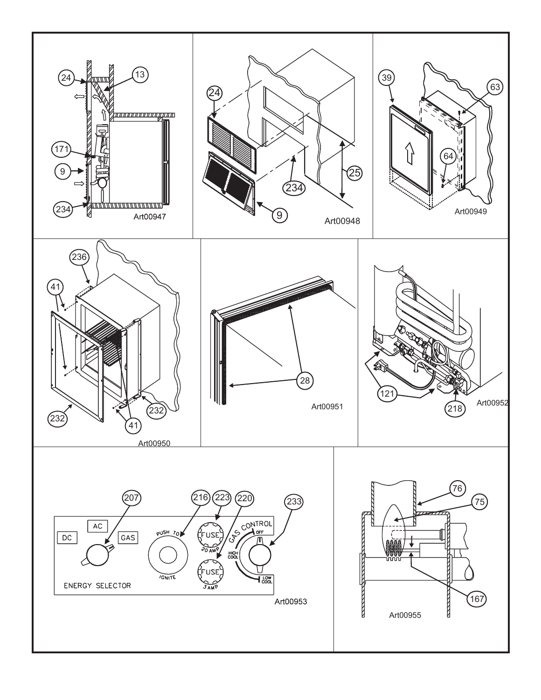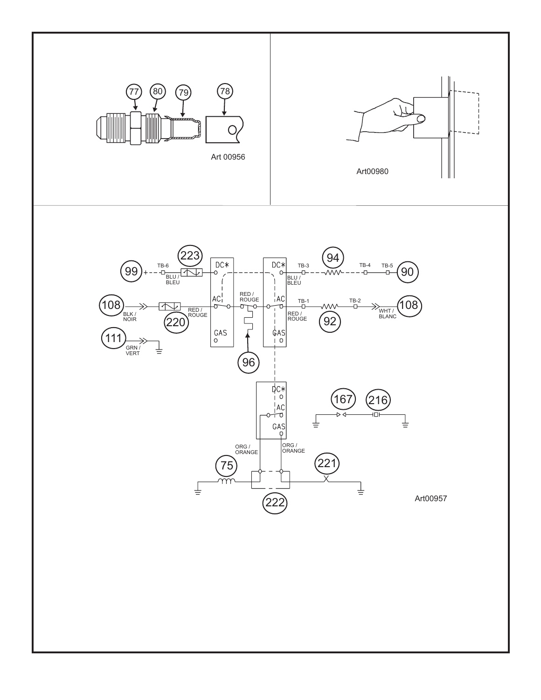